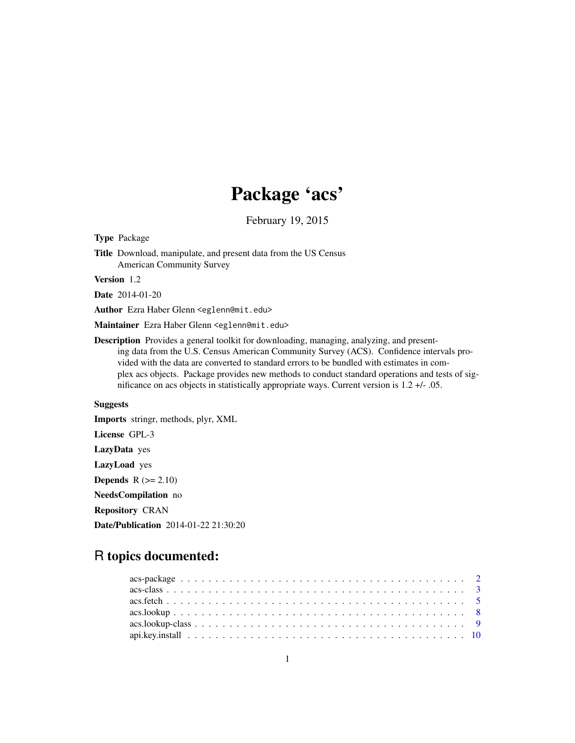# Package 'acs'

February 19, 2015

Type Package

Title Download, manipulate, and present data from the US Census American Community Survey

Version 1.2

Date 2014-01-20

Author Ezra Haber Glenn <eglenn@mit.edu>

Maintainer Ezra Haber Glenn <eglenn@mit.edu>

Description Provides a general toolkit for downloading, managing, analyzing, and presenting data from the U.S. Census American Community Survey (ACS). Confidence intervals provided with the data are converted to standard errors to be bundled with estimates in complex acs objects. Package provides new methods to conduct standard operations and tests of significance on acs objects in statistically appropriate ways. Current version is 1.2 +/- .05.

# Suggests

Imports stringr, methods, plyr, XML License GPL-3 LazyData yes LazyLoad yes **Depends**  $R$  ( $>= 2.10$ ) NeedsCompilation no Repository CRAN Date/Publication 2014-01-22 21:30:20

# R topics documented:

| $\arcsin 3$ |  |
|-------------|--|
|             |  |
|             |  |
|             |  |
|             |  |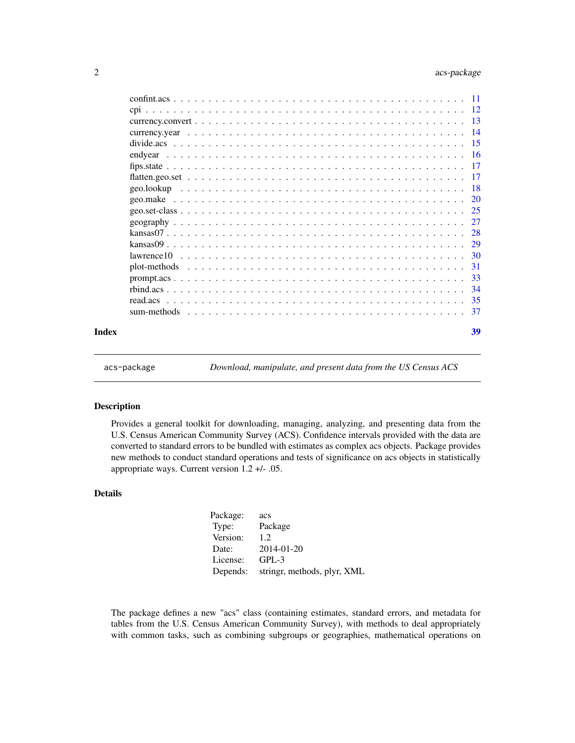# <span id="page-1-0"></span>2 acs-package

|       |  | -34 |
|-------|--|-----|
|       |  |     |
|       |  |     |
| Index |  | 39  |

acs-package *Download, manipulate, and present data from the US Census ACS*

## Description

Provides a general toolkit for downloading, managing, analyzing, and presenting data from the U.S. Census American Community Survey (ACS). Confidence intervals provided with the data are converted to standard errors to be bundled with estimates as complex acs objects. Package provides new methods to conduct standard operations and tests of significance on acs objects in statistically appropriate ways. Current version 1.2 +/- .05.

# Details

| Package: | acs                         |
|----------|-----------------------------|
| Type:    | Package                     |
| Version: | 1.2.                        |
| Date:    | 2014-01-20                  |
| License: | $GPL-3$                     |
| Depends: | stringr, methods, plyr, XML |

The package defines a new "acs" class (containing estimates, standard errors, and metadata for tables from the U.S. Census American Community Survey), with methods to deal appropriately with common tasks, such as combining subgroups or geographies, mathematical operations on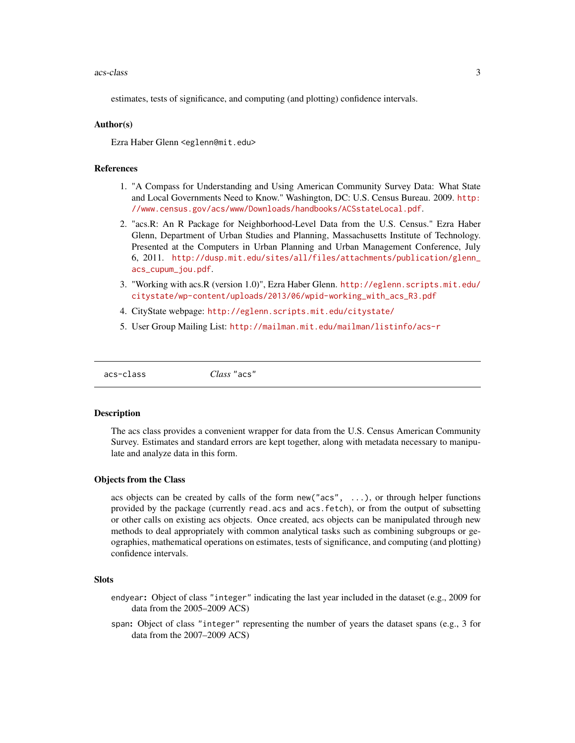#### <span id="page-2-0"></span>acs-class 3

estimates, tests of significance, and computing (and plotting) confidence intervals.

# Author(s)

Ezra Haber Glenn <eglenn@mit.edu>

# References

- 1. "A Compass for Understanding and Using American Community Survey Data: What State and Local Governments Need to Know." Washington, DC: U.S. Census Bureau. 2009. [http:](http://www.census.gov/acs/www/Downloads/handbooks/ACSstateLocal.pdf) [//www.census.gov/acs/www/Downloads/handbooks/ACSstateLocal.pdf](http://www.census.gov/acs/www/Downloads/handbooks/ACSstateLocal.pdf).
- 2. "acs.R: An R Package for Neighborhood-Level Data from the U.S. Census." Ezra Haber Glenn, Department of Urban Studies and Planning, Massachusetts Institute of Technology. Presented at the Computers in Urban Planning and Urban Management Conference, July 6, 2011. [http://dusp.mit.edu/sites/all/files/attachments/publication/glenn\\_](http://dusp.mit.edu/sites/all/files/attachments/publication/glenn_acs_cupum_jou.pdf) [acs\\_cupum\\_jou.pdf](http://dusp.mit.edu/sites/all/files/attachments/publication/glenn_acs_cupum_jou.pdf).
- 3. "Working with acs.R (version 1.0)", Ezra Haber Glenn. [http://eglenn.scripts.mit.edu/](http://eglenn.scripts.mit.edu/citystate/wp-content/uploads/2013/06/wpid-working_with_acs_R3.pdf) [citystate/wp-content/uploads/2013/06/wpid-working\\_with\\_acs\\_R3.pdf](http://eglenn.scripts.mit.edu/citystate/wp-content/uploads/2013/06/wpid-working_with_acs_R3.pdf)
- 4. CityState webpage: <http://eglenn.scripts.mit.edu/citystate/>
- 5. User Group Mailing List: <http://mailman.mit.edu/mailman/listinfo/acs-r>

```
acs-class Class "acs"
```
#### Description

The acs class provides a convenient wrapper for data from the U.S. Census American Community Survey. Estimates and standard errors are kept together, along with metadata necessary to manipulate and analyze data in this form.

# Objects from the Class

acs objects can be created by calls of the form new("acs", ...), or through helper functions provided by the package (currently read.acs and acs.fetch), or from the output of subsetting or other calls on existing acs objects. Once created, acs objects can be manipulated through new methods to deal appropriately with common analytical tasks such as combining subgroups or geographies, mathematical operations on estimates, tests of significance, and computing (and plotting) confidence intervals.

#### **Slots**

- endyear: Object of class "integer" indicating the last year included in the dataset (e.g., 2009 for data from the 2005–2009 ACS)
- span: Object of class "integer" representing the number of years the dataset spans (e.g., 3 for data from the 2007–2009 ACS)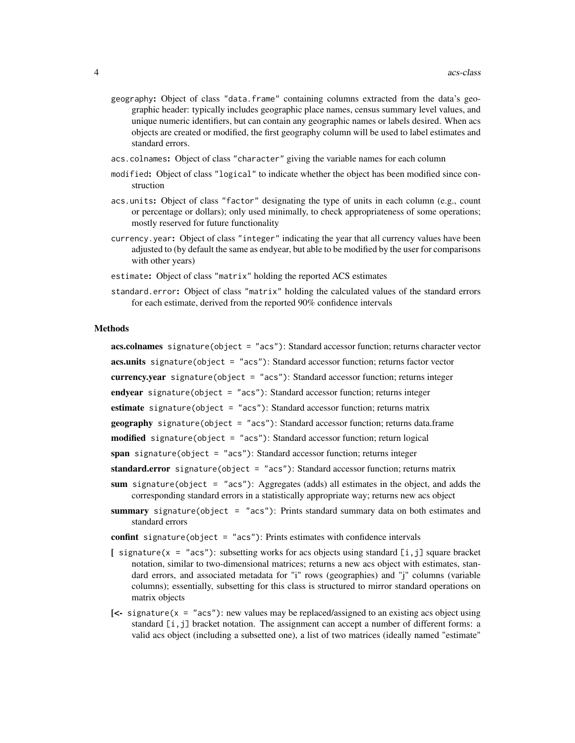- geography: Object of class "data.frame" containing columns extracted from the data's geographic header: typically includes geographic place names, census summary level values, and unique numeric identifiers, but can contain any geographic names or labels desired. When acs objects are created or modified, the first geography column will be used to label estimates and standard errors.
- acs.colnames: Object of class "character" giving the variable names for each column
- modified: Object of class "logical" to indicate whether the object has been modified since construction
- acs.units: Object of class "factor" designating the type of units in each column (e.g., count or percentage or dollars); only used minimally, to check appropriateness of some operations; mostly reserved for future functionality
- currency.year: Object of class "integer" indicating the year that all currency values have been adjusted to (by default the same as endyear, but able to be modified by the user for comparisons with other years)
- estimate: Object of class "matrix" holding the reported ACS estimates
- standard.error: Object of class "matrix" holding the calculated values of the standard errors for each estimate, derived from the reported 90% confidence intervals

# Methods

acs.colnames signature(object = "acs"): Standard accessor function; returns character vector acs.units signature(object = "acs"): Standard accessor function; returns factor vector currency.year signature(object = "acs"): Standard accessor function; returns integer endyear signature(object = "acs"): Standard accessor function; returns integer estimate signature(object = "acs"): Standard accessor function; returns matrix geography signature(object = "acs"): Standard accessor function; returns data.frame

- modified signature(object = "acs"): Standard accessor function; return logical
- span signature(object = "acs"): Standard accessor function; returns integer
- standard.error signature(object = "acs"): Standard accessor function; returns matrix
- sum signature(object = "acs"): Aggregates (adds) all estimates in the object, and adds the corresponding standard errors in a statistically appropriate way; returns new acs object
- summary signature(object = "acs"): Prints standard summary data on both estimates and standard errors
- confint signature(object = "acs"): Prints estimates with confidence intervals
- [ signature( $x = "acs")$ : subsetting works for acs objects using standard [i,j] square bracket notation, similar to two-dimensional matrices; returns a new acs object with estimates, standard errors, and associated metadata for "i" rows (geographies) and "j" columns (variable columns); essentially, subsetting for this class is structured to mirror standard operations on matrix objects
- $\leq$  signature(x = "acs"): new values may be replaced/assigned to an existing acs object using standard  $[i, j]$  bracket notation. The assignment can accept a number of different forms: a valid acs object (including a subsetted one), a list of two matrices (ideally named "estimate"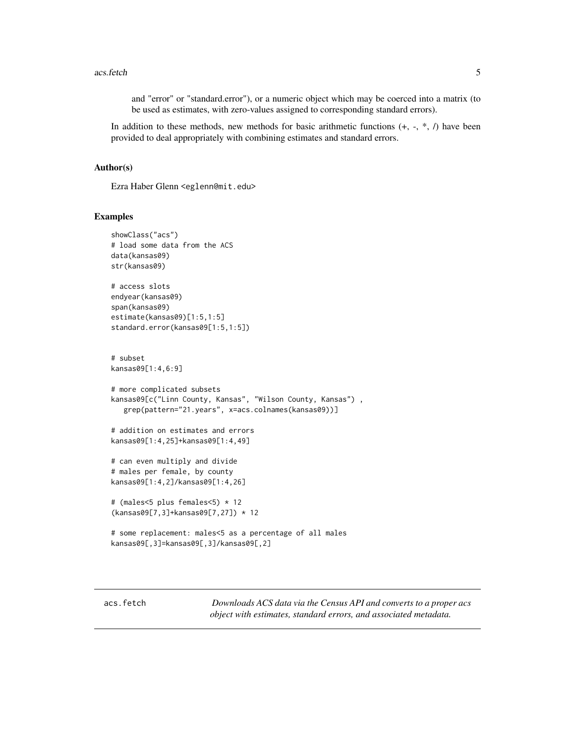<span id="page-4-0"></span>and "error" or "standard.error"), or a numeric object which may be coerced into a matrix (to be used as estimates, with zero-values assigned to corresponding standard errors).

In addition to these methods, new methods for basic arithmetic functions  $(+, -, *, /)$  have been provided to deal appropriately with combining estimates and standard errors.

#### Author(s)

Ezra Haber Glenn <eglenn@mit.edu>

# Examples

```
showClass("acs")
# load some data from the ACS
data(kansas09)
str(kansas09)
# access slots
endyear(kansas09)
span(kansas09)
estimate(kansas09)[1:5,1:5]
standard.error(kansas09[1:5,1:5])
# subset
kansas09[1:4,6:9]
# more complicated subsets
kansas09[c("Linn County, Kansas", "Wilson County, Kansas") ,
  grep(pattern="21.years", x=acs.colnames(kansas09))]
# addition on estimates and errors
kansas09[1:4,25]+kansas09[1:4,49]
# can even multiply and divide
# males per female, by county
kansas09[1:4,2]/kansas09[1:4,26]
# (males<5 plus females<5) * 12
(kansas09[7,3]+kansas09[7,27]) * 12
# some replacement: males<5 as a percentage of all males
kansas09[,3]=kansas09[,3]/kansas09[,2]
```
<span id="page-4-1"></span>acs.fetch *Downloads ACS data via the Census API and converts to a proper acs object with estimates, standard errors, and associated metadata.*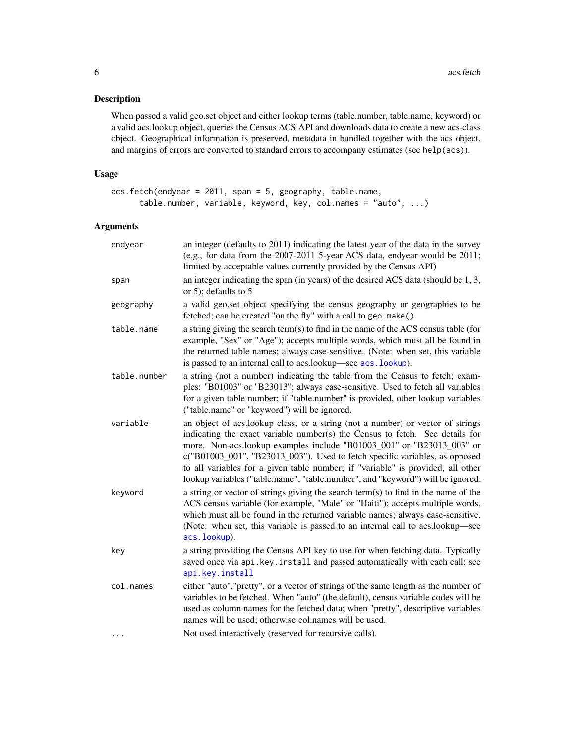# <span id="page-5-0"></span>Description

When passed a valid geo.set object and either lookup terms (table.number, table.name, keyword) or a valid acs.lookup object, queries the Census ACS API and downloads data to create a new acs-class object. Geographical information is preserved, metadata in bundled together with the acs object, and margins of errors are converted to standard errors to accompany estimates (see help(acs)).

# Usage

```
acs.fetch(endyear = 2011, span = 5, geography, table.name,
     table.number, variable, keyword, key, col.names = "auto", ...)
```
# Arguments

| endyear      | an integer (defaults to 2011) indicating the latest year of the data in the survey<br>(e.g., for data from the 2007-2011 5-year ACS data, endyear would be 2011;<br>limited by acceptable values currently provided by the Census API)                                                                                                                                                                                                                                                       |
|--------------|----------------------------------------------------------------------------------------------------------------------------------------------------------------------------------------------------------------------------------------------------------------------------------------------------------------------------------------------------------------------------------------------------------------------------------------------------------------------------------------------|
| span         | an integer indicating the span (in years) of the desired ACS data (should be 1, 3,<br>or 5); defaults to $5$                                                                                                                                                                                                                                                                                                                                                                                 |
| geography    | a valid geo.set object specifying the census geography or geographies to be<br>fetched; can be created "on the fly" with a call to geo. make()                                                                                                                                                                                                                                                                                                                                               |
| table.name   | a string giving the search term(s) to find in the name of the ACS census table (for<br>example, "Sex" or "Age"); accepts multiple words, which must all be found in<br>the returned table names; always case-sensitive. (Note: when set, this variable<br>is passed to an internal call to acs.lookup—see acs.lookup).                                                                                                                                                                       |
| table.number | a string (not a number) indicating the table from the Census to fetch; exam-<br>ples: "B01003" or "B23013"; always case-sensitive. Used to fetch all variables<br>for a given table number; if "table.number" is provided, other lookup variables<br>("table.name" or "keyword") will be ignored.                                                                                                                                                                                            |
| variable     | an object of acs.lookup class, or a string (not a number) or vector of strings<br>indicating the exact variable number(s) the Census to fetch. See details for<br>more. Non-acs.lookup examples include "B01003_001" or "B23013_003" or<br>c("B01003_001", "B23013_003"). Used to fetch specific variables, as opposed<br>to all variables for a given table number; if "variable" is provided, all other<br>lookup variables ("table.name", "table.number", and "keyword") will be ignored. |
| keyword      | a string or vector of strings giving the search term(s) to find in the name of the<br>ACS census variable (for example, "Male" or "Haiti"); accepts multiple words,<br>which must all be found in the returned variable names; always case-sensitive.<br>(Note: when set, this variable is passed to an internal call to acs.lookup—see<br>acs.lookup).                                                                                                                                      |
| key          | a string providing the Census API key to use for when fetching data. Typically<br>saved once via api.key.install and passed automatically with each call; see<br>api.key.install                                                                                                                                                                                                                                                                                                             |
| col.names    | either "auto", "pretty", or a vector of strings of the same length as the number of<br>variables to be fetched. When "auto" (the default), census variable codes will be<br>used as column names for the fetched data; when "pretty", descriptive variables<br>names will be used; otherwise col.names will be used.                                                                                                                                                                         |
| .            | Not used interactively (reserved for recursive calls).                                                                                                                                                                                                                                                                                                                                                                                                                                       |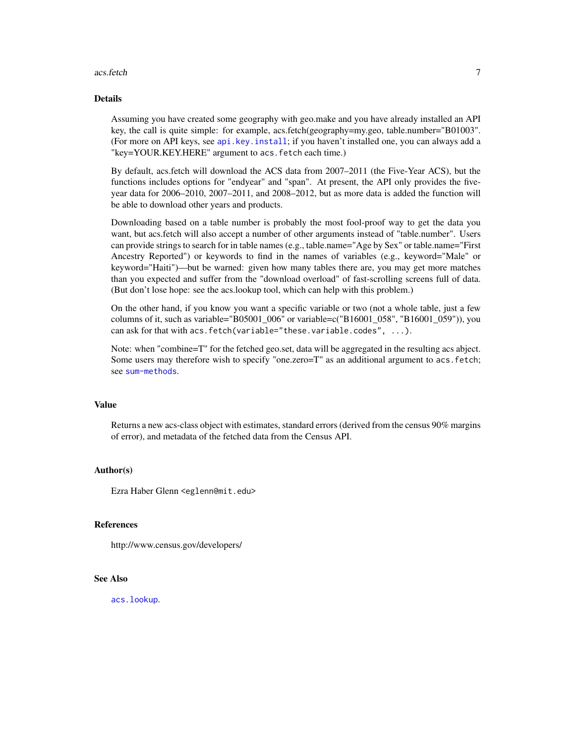#### <span id="page-6-0"></span>acs.fetch 7

# Details

Assuming you have created some geography with geo.make and you have already installed an API key, the call is quite simple: for example, acs.fetch(geography=my.geo, table.number="B01003". (For more on API keys, see [api.key.install](#page-9-1); if you haven't installed one, you can always add a "key=YOUR.KEY.HERE" argument to acs. fetch each time.)

By default, acs.fetch will download the ACS data from 2007–2011 (the Five-Year ACS), but the functions includes options for "endyear" and "span". At present, the API only provides the fiveyear data for 2006–2010, 2007–2011, and 2008–2012, but as more data is added the function will be able to download other years and products.

Downloading based on a table number is probably the most fool-proof way to get the data you want, but acs.fetch will also accept a number of other arguments instead of "table.number". Users can provide strings to search for in table names (e.g., table.name="Age by Sex" or table.name="First Ancestry Reported") or keywords to find in the names of variables (e.g., keyword="Male" or keyword="Haiti")—but be warned: given how many tables there are, you may get more matches than you expected and suffer from the "download overload" of fast-scrolling screens full of data. (But don't lose hope: see the acs.lookup tool, which can help with this problem.)

On the other hand, if you know you want a specific variable or two (not a whole table, just a few columns of it, such as variable="B05001\_006" or variable=c("B16001\_058", "B16001\_059")), you can ask for that with acs.fetch(variable="these.variable.codes", ...).

Note: when "combine=T" for the fetched geo.set, data will be aggregated in the resulting acs abject. Some users may therefore wish to specify "one.zero=T" as an additional argument to acs. fetch; see [sum-methods](#page-36-1).

#### Value

Returns a new acs-class object with estimates, standard errors (derived from the census 90% margins of error), and metadata of the fetched data from the Census API.

# Author(s)

Ezra Haber Glenn <eglenn@mit.edu>

# References

http://www.census.gov/developers/

# See Also

[acs.lookup](#page-7-1).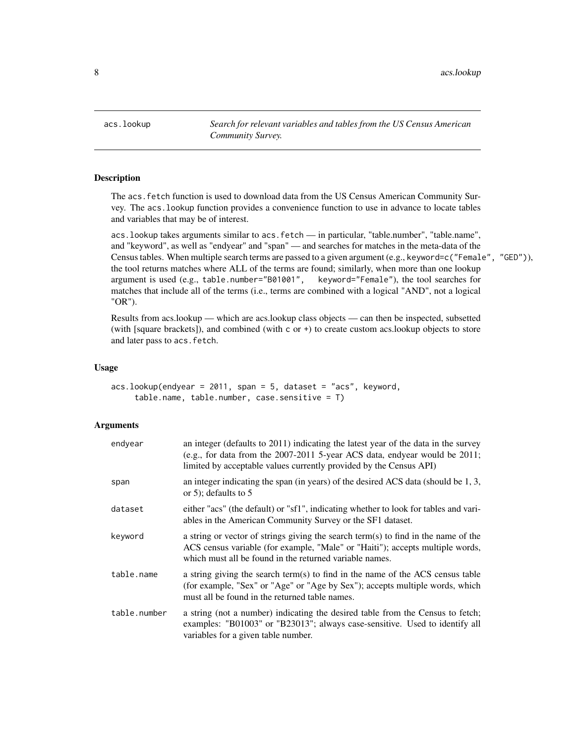<span id="page-7-0"></span>8 acs.lookup and the set of the set of the set of the set of the set of the set of the set of the set of the set of the set of the set of the set of the set of the set of the set of the set of the set of the set of the set

<span id="page-7-1"></span>acs.lookup *Search for relevant variables and tables from the US Census American Community Survey.*

# **Description**

The acs.fetch function is used to download data from the US Census American Community Survey. The acs.lookup function provides a convenience function to use in advance to locate tables and variables that may be of interest.

acs.lookup takes arguments similar to acs.fetch — in particular, "table.number", "table.name", and "keyword", as well as "endyear" and "span" — and searches for matches in the meta-data of the Census tables. When multiple search terms are passed to a given argument (e.g., keyword=c("Female", "GED")), the tool returns matches where ALL of the terms are found; similarly, when more than one lookup argument is used (e.g., table.number="B01001", keyword="Female"), the tool searches for matches that include all of the terms (i.e., terms are combined with a logical "AND", not a logical "OR").

Results from acs.lookup — which are acs.lookup class objects — can then be inspected, subsetted (with [square brackets]), and combined (with c or +) to create custom acs.lookup objects to store and later pass to acs.fetch.

#### Usage

```
acs.lookup(endyear = 2011, span = 5, dataset = "acs", keyword,
    table.name, table.number, case.sensitive = T)
```
# **Arguments**

| endyear      | an integer (defaults to 2011) indicating the latest year of the data in the survey<br>(e.g., for data from the $2007-2011$ 5-year ACS data, endyear would be $2011$ ;<br>limited by acceptable values currently provided by the Census API) |
|--------------|---------------------------------------------------------------------------------------------------------------------------------------------------------------------------------------------------------------------------------------------|
| span         | an integer indicating the span (in years) of the desired ACS data (should be 1, 3,<br>or 5); defaults to $5$                                                                                                                                |
| dataset      | either "acs" (the default) or "sf1", indicating whether to look for tables and vari-<br>ables in the American Community Survey or the SF1 dataset.                                                                                          |
| keyword      | a string or vector of strings giving the search term(s) to find in the name of the<br>ACS census variable (for example, "Male" or "Haiti"); accepts multiple words,<br>which must all be found in the returned variable names.              |
| table.name   | a string giving the search term(s) to find in the name of the ACS census table<br>(for example, "Sex" or "Age" or "Age by Sex"); accepts multiple words, which<br>must all be found in the returned table names.                            |
| table.number | a string (not a number) indicating the desired table from the Census to fetch;<br>examples: "B01003" or "B23013"; always case-sensitive. Used to identify all<br>variables for a given table number.                                        |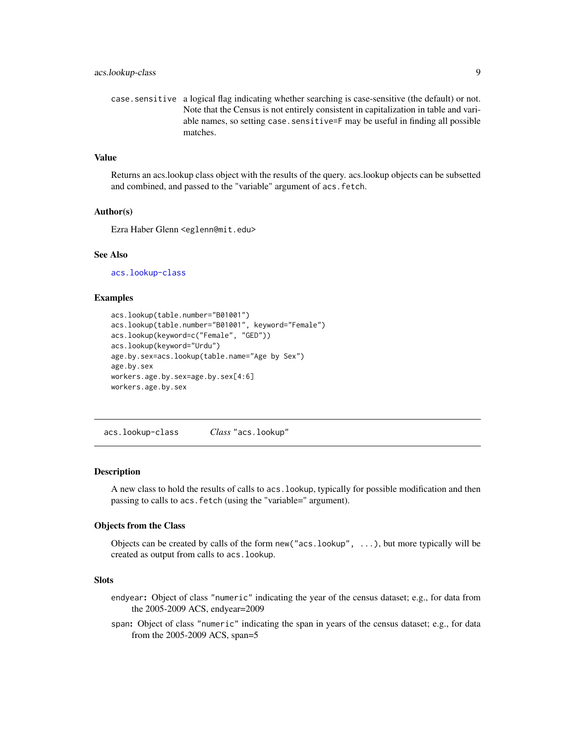<span id="page-8-0"></span>case.sensitive a logical flag indicating whether searching is case-sensitive (the default) or not. Note that the Census is not entirely consistent in capitalization in table and variable names, so setting case. sensitive=F may be useful in finding all possible matches.

#### Value

Returns an acs.lookup class object with the results of the query. acs.lookup objects can be subsetted and combined, and passed to the "variable" argument of acs. fetch.

#### Author(s)

Ezra Haber Glenn <eglenn@mit.edu>

#### See Also

[acs.lookup-class](#page-8-1)

# Examples

```
acs.lookup(table.number="B01001")
acs.lookup(table.number="B01001", keyword="Female")
acs.lookup(keyword=c("Female", "GED"))
acs.lookup(keyword="Urdu")
age.by.sex=acs.lookup(table.name="Age by Sex")
age.by.sex
workers.age.by.sex=age.by.sex[4:6]
workers.age.by.sex
```
<span id="page-8-1"></span>acs.lookup-class *Class* "acs.lookup"

#### **Description**

A new class to hold the results of calls to acs.lookup, typically for possible modification and then passing to calls to acs.fetch (using the "variable=" argument).

# Objects from the Class

Objects can be created by calls of the form new("acs.lookup", ...), but more typically will be created as output from calls to acs.lookup.

# **Slots**

- endyear: Object of class "numeric" indicating the year of the census dataset; e.g., for data from the 2005-2009 ACS, endyear=2009
- span: Object of class "numeric" indicating the span in years of the census dataset; e.g., for data from the 2005-2009 ACS, span=5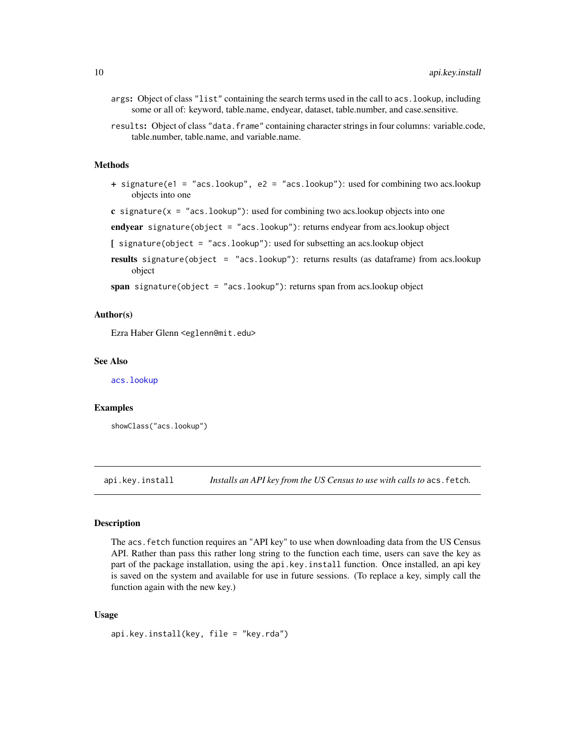- <span id="page-9-0"></span>args: Object of class "list" containing the search terms used in the call to acs.lookup, including some or all of: keyword, table.name, endyear, dataset, table.number, and case.sensitive.
- results: Object of class "data.frame" containing character strings in four columns: variable.code, table.number, table.name, and variable.name.

# Methods

- + signature(e1 = "acs.lookup", e2 = "acs.lookup"): used for combining two acs.lookup objects into one
- c signature( $x =$  "acs.lookup"): used for combining two acs.lookup objects into one

endyear signature(object = "acs.lookup"): returns endyear from acs.lookup object

- [ signature(object = "acs.lookup"): used for subsetting an acs.lookup object
- results signature(object = "acs.lookup"): returns results (as dataframe) from acs.lookup object

span signature(object = "acs.lookup"): returns span from acs.lookup object

# Author(s)

Ezra Haber Glenn <eglenn@mit.edu>

#### See Also

[acs.lookup](#page-7-1)

# Examples

showClass("acs.lookup")

<span id="page-9-1"></span>api.key.install *Installs an API key from the US Census to use with calls to* acs.fetch*.*

#### Description

The acs.fetch function requires an "API key" to use when downloading data from the US Census API. Rather than pass this rather long string to the function each time, users can save the key as part of the package installation, using the api.key.install function. Once installed, an api key is saved on the system and available for use in future sessions. (To replace a key, simply call the function again with the new key.)

#### Usage

```
api.key.install(key, file = "key.rda")
```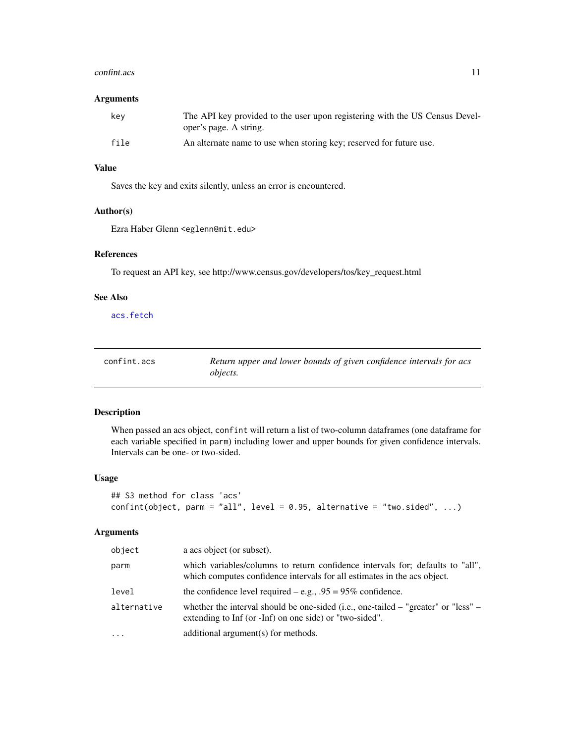#### <span id="page-10-0"></span>confint.acs 11

# Arguments

| kev  | The API key provided to the user upon registering with the US Census Devel-<br>oper's page. A string. |
|------|-------------------------------------------------------------------------------------------------------|
| file | An alternate name to use when storing key; reserved for future use.                                   |

# Value

Saves the key and exits silently, unless an error is encountered.

# Author(s)

Ezra Haber Glenn <eglenn@mit.edu>

#### References

To request an API key, see http://www.census.gov/developers/tos/key\_request.html

# See Also

[acs.fetch](#page-4-1)

| confint.acs | Return upper and lower bounds of given confidence intervals for acs |
|-------------|---------------------------------------------------------------------|
|             | <i>objects.</i>                                                     |

# Description

When passed an acs object, confint will return a list of two-column dataframes (one dataframe for each variable specified in parm) including lower and upper bounds for given confidence intervals. Intervals can be one- or two-sided.

# Usage

```
## S3 method for class 'acs'
confint(object, parm = "all", level = 0.95, alternative = "two.sided", ...)
```
# Arguments

| object      | a acs object (or subset).                                                                                                                                  |
|-------------|------------------------------------------------------------------------------------------------------------------------------------------------------------|
| parm        | which variables/columns to return confidence intervals for; defaults to "all",<br>which computes confidence intervals for all estimates in the acs object. |
| level       | the confidence level required $-e.g., .95 = 95\%$ confidence.                                                                                              |
| alternative | whether the interval should be one-sided (i.e., one-tailed $-$ "greater" or "less" $-$<br>extending to Inf (or -Inf) on one side) or "two-sided".          |
| $\cdot$     | additional argument(s) for methods.                                                                                                                        |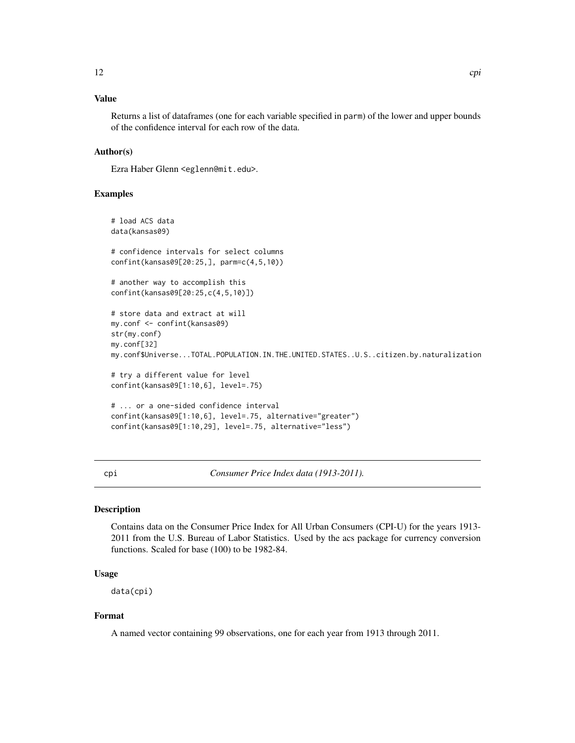# <span id="page-11-0"></span>Value

Returns a list of dataframes (one for each variable specified in parm) of the lower and upper bounds of the confidence interval for each row of the data.

# Author(s)

Ezra Haber Glenn <eglenn@mit.edu>.

# Examples

```
# load ACS data
data(kansas09)
# confidence intervals for select columns
confint(kansas09[20:25,], parm=c(4,5,10))
# another way to accomplish this
confint(kansas09[20:25,c(4,5,10)])
# store data and extract at will
my.conf <- confint(kansas09)
str(my.conf)
my.conf[32]
my.conf$Universe...TOTAL.POPULATION.IN.THE.UNITED.STATES..U.S..citizen.by.naturalization
# try a different value for level
confint(kansas09[1:10,6], level=.75)
# ... or a one-sided confidence interval
confint(kansas09[1:10,6], level=.75, alternative="greater")
confint(kansas09[1:10,29], level=.75, alternative="less")
```
<span id="page-11-1"></span>cpi *Consumer Price Index data (1913-2011).*

# Description

Contains data on the Consumer Price Index for All Urban Consumers (CPI-U) for the years 1913- 2011 from the U.S. Bureau of Labor Statistics. Used by the acs package for currency conversion functions. Scaled for base (100) to be 1982-84.

# Usage

data(cpi)

# Format

A named vector containing 99 observations, one for each year from 1913 through 2011.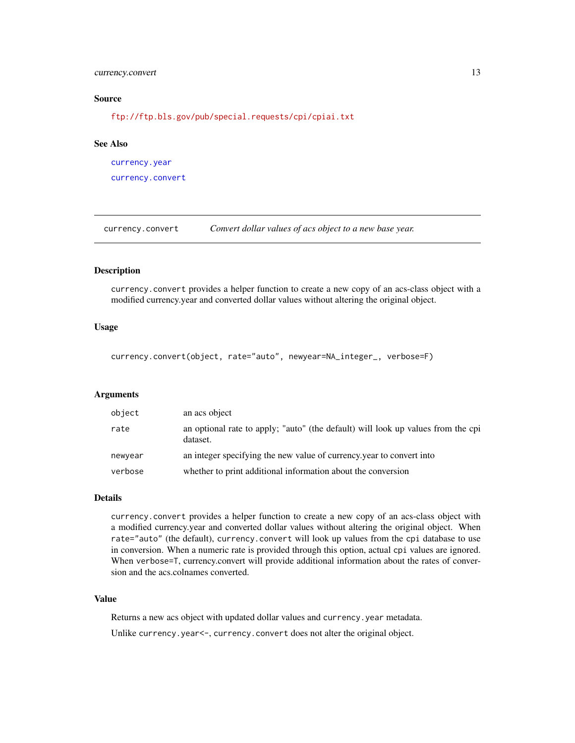# <span id="page-12-0"></span>currency.convert 13

#### Source

<ftp://ftp.bls.gov/pub/special.requests/cpi/cpiai.txt>

# See Also

[currency.year](#page-13-1) [currency.convert](#page-12-1)

<span id="page-12-1"></span>currency.convert *Convert dollar values of acs object to a new base year.*

# Description

currency.convert provides a helper function to create a new copy of an acs-class object with a modified currency.year and converted dollar values without altering the original object.

# Usage

currency.convert(object, rate="auto", newyear=NA\_integer\_, verbose=F)

# Arguments

| object  | an acs object                                                                                |
|---------|----------------------------------------------------------------------------------------------|
| rate    | an optional rate to apply; "auto" (the default) will look up values from the cpi<br>dataset. |
| newyear | an integer specifying the new value of currency, year to convert into                        |
| verbose | whether to print additional information about the conversion                                 |

#### Details

currency.convert provides a helper function to create a new copy of an acs-class object with a modified currency.year and converted dollar values without altering the original object. When rate="auto" (the default), currency.convert will look up values from the cpi database to use in conversion. When a numeric rate is provided through this option, actual cpi values are ignored. When verbose=T, currency.convert will provide additional information about the rates of conversion and the acs.colnames converted.

# Value

Returns a new acs object with updated dollar values and currency.year metadata. Unlike currency.year<-, currency.convert does not alter the original object.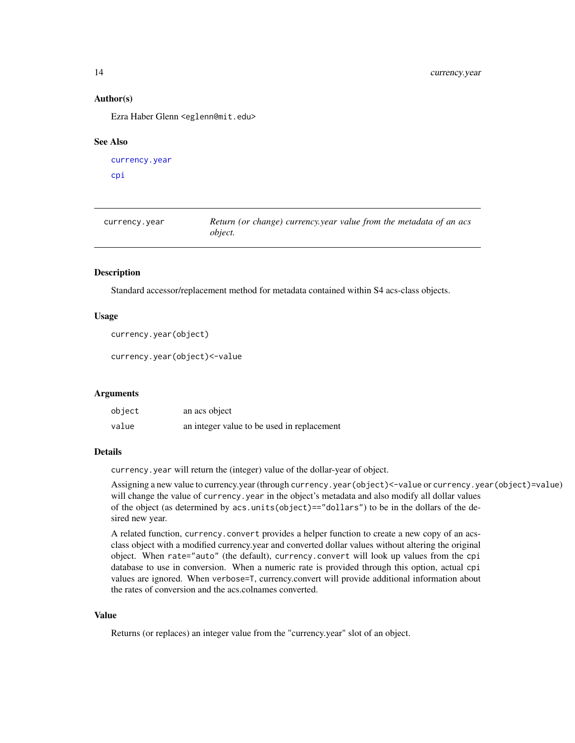# Author(s)

Ezra Haber Glenn <eglenn@mit.edu>

#### See Also

```
currency.year
cpi
```
<span id="page-13-1"></span>currency.year *Return (or change) currency.year value from the metadata of an acs object.*

# Description

Standard accessor/replacement method for metadata contained within S4 acs-class objects.

# Usage

```
currency.year(object)
```
currency.year(object)<-value

#### Arguments

| object | an acs object                              |
|--------|--------------------------------------------|
| value  | an integer value to be used in replacement |

#### Details

currency.year will return the (integer) value of the dollar-year of object.

Assigning a new value to currency.year (through currency.year(object)<-value or currency.year(object)=value) will change the value of currency. year in the object's metadata and also modify all dollar values of the object (as determined by acs.units(object)=="dollars") to be in the dollars of the desired new year.

A related function, currency.convert provides a helper function to create a new copy of an acsclass object with a modified currency.year and converted dollar values without altering the original object. When rate="auto" (the default), currency.convert will look up values from the cpi database to use in conversion. When a numeric rate is provided through this option, actual cpi values are ignored. When verbose=T, currency.convert will provide additional information about the rates of conversion and the acs.colnames converted.

# Value

Returns (or replaces) an integer value from the "currency.year" slot of an object.

<span id="page-13-0"></span>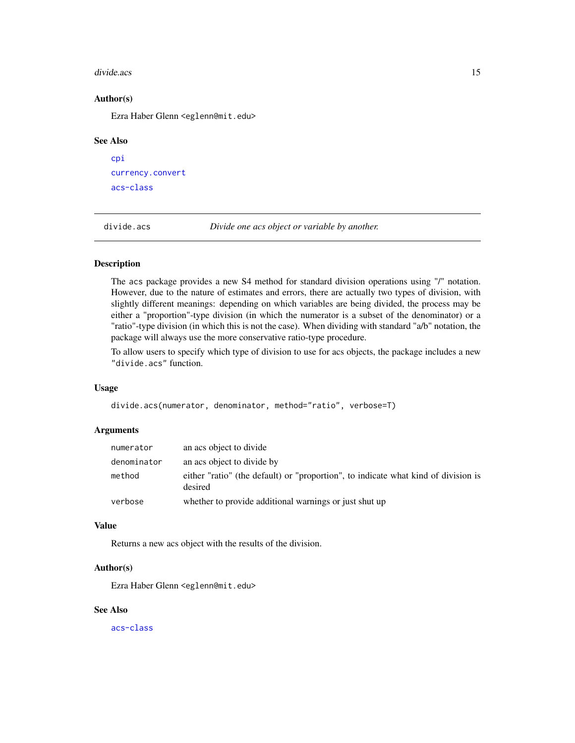#### <span id="page-14-0"></span>divide.acs and the contract of the contract of the contract of the contract of the contract of the contract of the contract of the contract of the contract of the contract of the contract of the contract of the contract of

# Author(s)

Ezra Haber Glenn <eglenn@mit.edu>

#### See Also

```
cpi
currency.convert
acs-class
```
divide.acs *Divide one acs object or variable by another.*

# Description

The acs package provides a new S4 method for standard division operations using "/" notation. However, due to the nature of estimates and errors, there are actually two types of division, with slightly different meanings: depending on which variables are being divided, the process may be either a "proportion"-type division (in which the numerator is a subset of the denominator) or a "ratio"-type division (in which this is not the case). When dividing with standard "a/b" notation, the package will always use the more conservative ratio-type procedure.

To allow users to specify which type of division to use for acs objects, the package includes a new "divide.acs" function.

#### Usage

divide.acs(numerator, denominator, method="ratio", verbose=T)

#### **Arguments**

| numerator   | an acs object to divide                                                                       |
|-------------|-----------------------------------------------------------------------------------------------|
| denominator | an acs object to divide by                                                                    |
| method      | either "ratio" (the default) or "proportion", to indicate what kind of division is<br>desired |
| verbose     | whether to provide additional warnings or just shut up                                        |

# Value

Returns a new acs object with the results of the division.

#### Author(s)

Ezra Haber Glenn <eglenn@mit.edu>

# See Also

[acs-class](#page-2-1)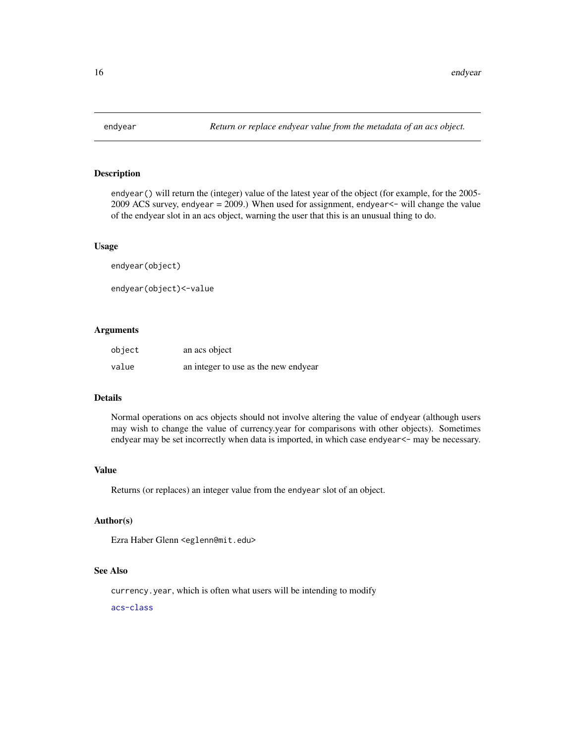<span id="page-15-0"></span>

# Description

endyear() will return the (integer) value of the latest year of the object (for example, for the 2005- 2009 ACS survey, endyear  $= 2009$ .) When used for assignment, endyear  $\le$  will change the value of the endyear slot in an acs object, warning the user that this is an unusual thing to do.

#### Usage

endyear(object)

endyear(object)<-value

# Arguments

| object | an acs object                        |
|--------|--------------------------------------|
| value  | an integer to use as the new endyear |

# Details

Normal operations on acs objects should not involve altering the value of endyear (although users may wish to change the value of currency.year for comparisons with other objects). Sometimes endyear may be set incorrectly when data is imported, in which case endyear<- may be necessary.

# Value

Returns (or replaces) an integer value from the endyear slot of an object.

# Author(s)

Ezra Haber Glenn <eglenn@mit.edu>

#### See Also

currency.year, which is often what users will be intending to modify

[acs-class](#page-2-1)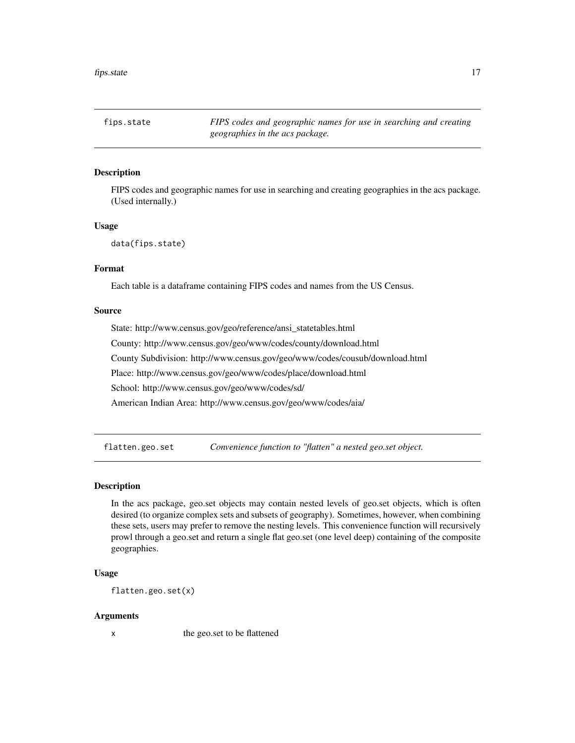<span id="page-16-0"></span>fips.state *FIPS codes and geographic names for use in searching and creating geographies in the acs package.*

# Description

FIPS codes and geographic names for use in searching and creating geographies in the acs package. (Used internally.)

# Usage

```
data(fips.state)
```
# Format

Each table is a dataframe containing FIPS codes and names from the US Census.

# Source

State: http://www.census.gov/geo/reference/ansi\_statetables.html County: http://www.census.gov/geo/www/codes/county/download.html County Subdivision: http://www.census.gov/geo/www/codes/cousub/download.html Place: http://www.census.gov/geo/www/codes/place/download.html School: http://www.census.gov/geo/www/codes/sd/ American Indian Area: http://www.census.gov/geo/www/codes/aia/

flatten.geo.set *Convenience function to "flatten" a nested geo.set object.*

# **Description**

In the acs package, geo.set objects may contain nested levels of geo.set objects, which is often desired (to organize complex sets and subsets of geography). Sometimes, however, when combining these sets, users may prefer to remove the nesting levels. This convenience function will recursively prowl through a geo.set and return a single flat geo.set (one level deep) containing of the composite geographies.

# Usage

flatten.geo.set(x)

#### Arguments

x the geo.set to be flattened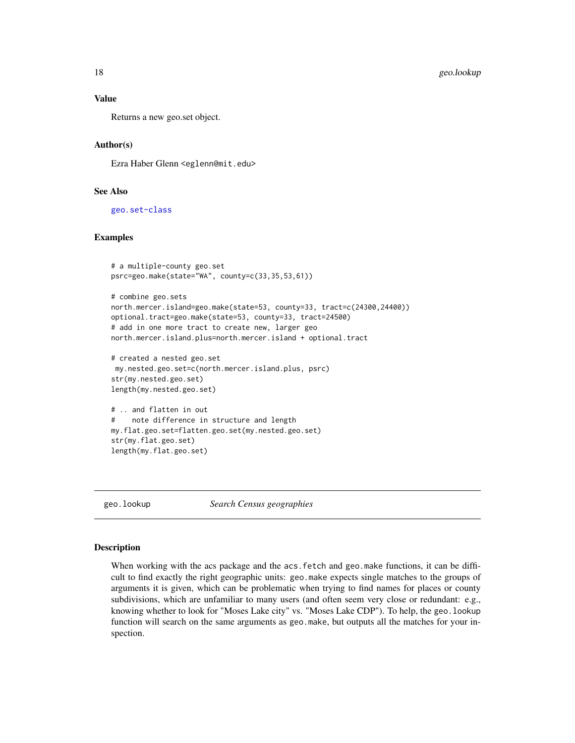# <span id="page-17-0"></span>Value

Returns a new geo.set object.

# Author(s)

Ezra Haber Glenn <eglenn@mit.edu>

# See Also

[geo.set-class](#page-24-1)

# Examples

```
# a multiple-county geo.set
psrc=geo.make(state="WA", county=c(33,35,53,61))
# combine geo.sets
north.mercer.island=geo.make(state=53, county=33, tract=c(24300,24400))
optional.tract=geo.make(state=53, county=33, tract=24500)
# add in one more tract to create new, larger geo
north.mercer.island.plus=north.mercer.island + optional.tract
```

```
# created a nested geo.set
my.nested.geo.set=c(north.mercer.island.plus, psrc)
str(my.nested.geo.set)
length(my.nested.geo.set)
```

```
# .. and flatten in out
# note difference in structure and length
my.flat.geo.set=flatten.geo.set(my.nested.geo.set)
str(my.flat.geo.set)
length(my.flat.geo.set)
```
geo.lookup *Search Census geographies*

#### Description

When working with the acs package and the acs. fetch and geo. make functions, it can be difficult to find exactly the right geographic units: geo.make expects single matches to the groups of arguments it is given, which can be problematic when trying to find names for places or county subdivisions, which are unfamiliar to many users (and often seem very close or redundant: e.g., knowing whether to look for "Moses Lake city" vs. "Moses Lake CDP"). To help, the geo.lookup function will search on the same arguments as geo.make, but outputs all the matches for your inspection.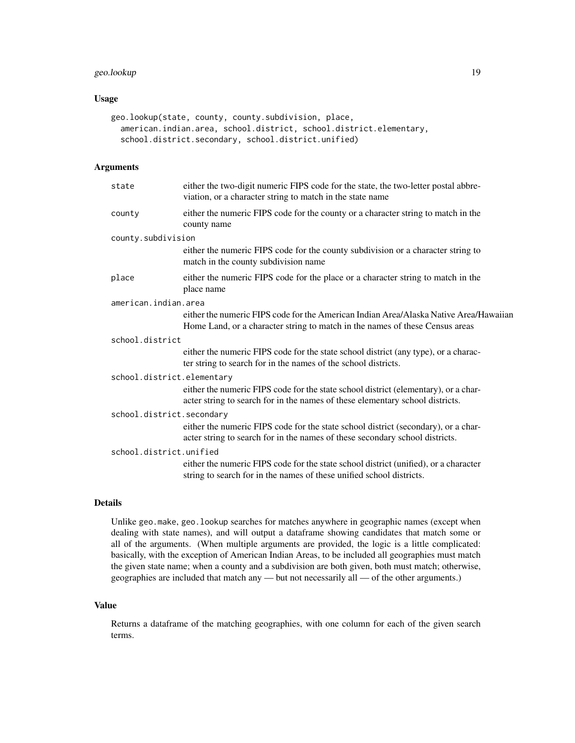# geo.lookup 19

# Usage

```
geo.lookup(state, county, county.subdivision, place,
  american.indian.area, school.district, school.district.elementary,
  school.district.secondary, school.district.unified)
```
# Arguments

| state                      | either the two-digit numeric FIPS code for the state, the two-letter postal abbre-<br>viation, or a character string to match in the state name                       |
|----------------------------|-----------------------------------------------------------------------------------------------------------------------------------------------------------------------|
| county                     | either the numeric FIPS code for the county or a character string to match in the<br>county name                                                                      |
| county.subdivision         |                                                                                                                                                                       |
|                            | either the numeric FIPS code for the county subdivision or a character string to<br>match in the county subdivision name                                              |
| place                      | either the numeric FIPS code for the place or a character string to match in the<br>place name                                                                        |
| american.indian.area       |                                                                                                                                                                       |
|                            | either the numeric FIPS code for the American Indian Area/Alaska Native Area/Hawaiian<br>Home Land, or a character string to match in the names of these Census areas |
| school.district            |                                                                                                                                                                       |
|                            | either the numeric FIPS code for the state school district (any type), or a charac-<br>ter string to search for in the names of the school districts.                 |
| school.district.elementary |                                                                                                                                                                       |
|                            | either the numeric FIPS code for the state school district (elementary), or a char-<br>acter string to search for in the names of these elementary school districts.  |
| school.district.secondary  |                                                                                                                                                                       |
|                            | either the numeric FIPS code for the state school district (secondary), or a char-<br>acter string to search for in the names of these secondary school districts.    |
| school.district.unified    |                                                                                                                                                                       |
|                            | either the numeric FIPS code for the state school district (unified), or a character<br>string to search for in the names of these unified school districts.          |
|                            |                                                                                                                                                                       |

# Details

Unlike geo.make, geo.lookup searches for matches anywhere in geographic names (except when dealing with state names), and will output a dataframe showing candidates that match some or all of the arguments. (When multiple arguments are provided, the logic is a little complicated: basically, with the exception of American Indian Areas, to be included all geographies must match the given state name; when a county and a subdivision are both given, both must match; otherwise, geographies are included that match any — but not necessarily all — of the other arguments.)

# Value

Returns a dataframe of the matching geographies, with one column for each of the given search terms.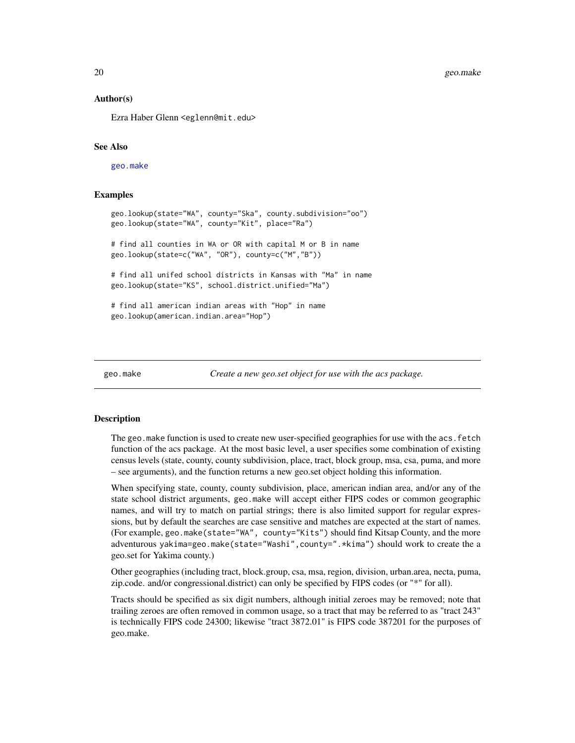# Author(s)

Ezra Haber Glenn <eglenn@mit.edu>

# See Also

[geo.make](#page-19-1)

# Examples

```
geo.lookup(state="WA", county="Ska", county.subdivision="oo")
geo.lookup(state="WA", county="Kit", place="Ra")
# find all counties in WA or OR with capital M or B in name
geo.lookup(state=c("WA", "OR"), county=c("M","B"))
# find all unifed school districts in Kansas with "Ma" in name
geo.lookup(state="KS", school.district.unified="Ma")
# find all american indian areas with "Hop" in name
geo.lookup(american.indian.area="Hop")
```
<span id="page-19-1"></span>geo.make *Create a new geo.set object for use with the acs package.*

# Description

The geo.make function is used to create new user-specified geographies for use with the acs.fetch function of the acs package. At the most basic level, a user specifies some combination of existing census levels (state, county, county subdivision, place, tract, block group, msa, csa, puma, and more – see arguments), and the function returns a new geo.set object holding this information.

When specifying state, county, county subdivision, place, american indian area, and/or any of the state school district arguments, geo.make will accept either FIPS codes or common geographic names, and will try to match on partial strings; there is also limited support for regular expressions, but by default the searches are case sensitive and matches are expected at the start of names. (For example, geo.make(state="WA", county="Kits") should find Kitsap County, and the more adventurous yakima=geo.make(state="Washi",county=".\*kima") should work to create the a geo.set for Yakima county.)

Other geographies (including tract, block.group, csa, msa, region, division, urban.area, necta, puma, zip.code. and/or congressional.district) can only be specified by FIPS codes (or "\*" for all).

Tracts should be specified as six digit numbers, although initial zeroes may be removed; note that trailing zeroes are often removed in common usage, so a tract that may be referred to as "tract 243" is technically FIPS code 24300; likewise "tract 3872.01" is FIPS code 387201 for the purposes of geo.make.

<span id="page-19-0"></span>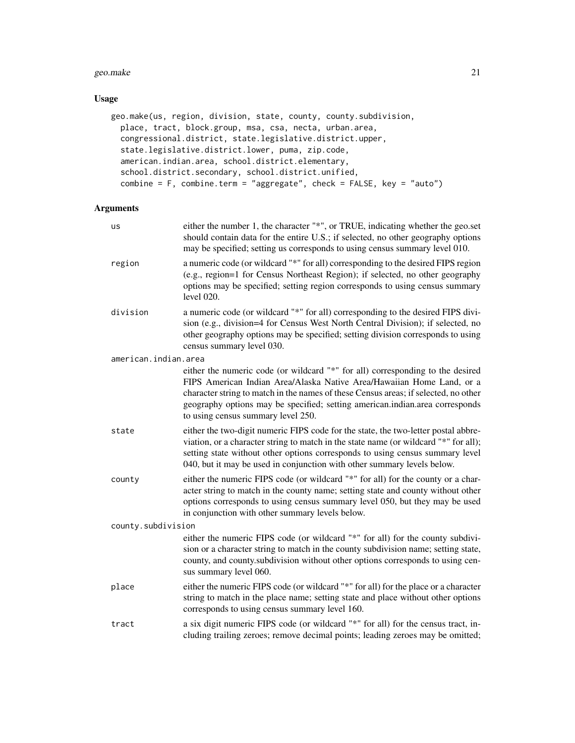#### geo.make 21

# Usage

```
geo.make(us, region, division, state, county, county.subdivision,
 place, tract, block.group, msa, csa, necta, urban.area,
  congressional.district, state.legislative.district.upper,
  state.legislative.district.lower, puma, zip.code,
  american.indian.area, school.district.elementary,
  school.district.secondary, school.district.unified,
  combine = F, combine.term = "aggregate", check = FALSE, key = "auto")
```
# Arguments

| us                   | either the number 1, the character "*", or TRUE, indicating whether the geo.set<br>should contain data for the entire U.S.; if selected, no other geography options<br>may be specified; setting us corresponds to using census summary level 010.                                                                                                                   |
|----------------------|----------------------------------------------------------------------------------------------------------------------------------------------------------------------------------------------------------------------------------------------------------------------------------------------------------------------------------------------------------------------|
| region               | a numeric code (or wildcard "*" for all) corresponding to the desired FIPS region<br>(e.g., region=1 for Census Northeast Region); if selected, no other geography<br>options may be specified; setting region corresponds to using census summary<br>level 020.                                                                                                     |
| division             | a numeric code (or wildcard "*" for all) corresponding to the desired FIPS divi-<br>sion (e.g., division=4 for Census West North Central Division); if selected, no<br>other geography options may be specified; setting division corresponds to using<br>census summary level 030.                                                                                  |
| american.indian.area |                                                                                                                                                                                                                                                                                                                                                                      |
|                      | either the numeric code (or wildcard "*" for all) corresponding to the desired<br>FIPS American Indian Area/Alaska Native Area/Hawaiian Home Land, or a<br>character string to match in the names of these Census areas; if selected, no other<br>geography options may be specified; setting american.indian.area corresponds<br>to using census summary level 250. |
| state                | either the two-digit numeric FIPS code for the state, the two-letter postal abbre-<br>viation, or a character string to match in the state name (or wildcard "*" for all);<br>setting state without other options corresponds to using census summary level<br>040, but it may be used in conjunction with other summary levels below.                               |
| county               | either the numeric FIPS code (or wildcard "*" for all) for the county or a char-<br>acter string to match in the county name; setting state and county without other<br>options corresponds to using census summary level 050, but they may be used<br>in conjunction with other summary levels below.                                                               |
| county.subdivision   |                                                                                                                                                                                                                                                                                                                                                                      |
|                      | either the numeric FIPS code (or wildcard "*" for all) for the county subdivi-<br>sion or a character string to match in the county subdivision name; setting state,<br>county, and county subdivision without other options corresponds to using cen-<br>sus summary level 060.                                                                                     |
| place                | either the numeric FIPS code (or wildcard "*" for all) for the place or a character<br>string to match in the place name; setting state and place without other options<br>corresponds to using census summary level 160.                                                                                                                                            |
| tract                | a six digit numeric FIPS code (or wildcard "*" for all) for the census tract, in-<br>cluding trailing zeroes; remove decimal points; leading zeroes may be omitted;                                                                                                                                                                                                  |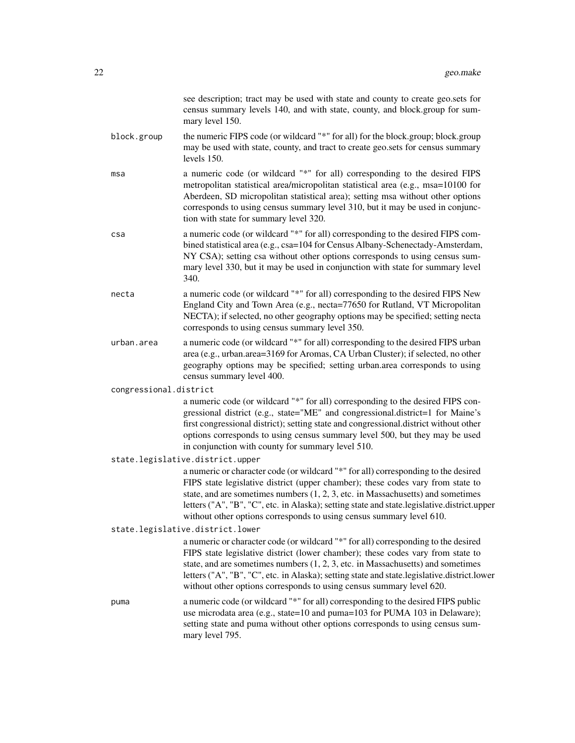see description; tract may be used with state and county to create geo.sets for census summary levels 140, and with state, county, and block.group for summary level 150.

- block.group the numeric FIPS code (or wildcard "\*" for all) for the block.group; block.group may be used with state, county, and tract to create geo.sets for census summary levels 150.
- msa a numeric code (or wildcard "\*" for all) corresponding to the desired FIPS metropolitan statistical area/micropolitan statistical area (e.g., msa=10100 for Aberdeen, SD micropolitan statistical area); setting msa without other options corresponds to using census summary level 310, but it may be used in conjunction with state for summary level 320.
- csa a numeric code (or wildcard "\*" for all) corresponding to the desired FIPS combined statistical area (e.g., csa=104 for Census Albany-Schenectady-Amsterdam, NY CSA); setting csa without other options corresponds to using census summary level 330, but it may be used in conjunction with state for summary level 340.
- necta a numeric code (or wildcard "\*" for all) corresponding to the desired FIPS New England City and Town Area (e.g., necta=77650 for Rutland, VT Micropolitan NECTA); if selected, no other geography options may be specified; setting necta corresponds to using census summary level 350.
- urban.area a numeric code (or wildcard "\*" for all) corresponding to the desired FIPS urban area (e.g., urban.area=3169 for Aromas, CA Urban Cluster); if selected, no other geography options may be specified; setting urban.area corresponds to using census summary level 400.

congressional.district

a numeric code (or wildcard "\*" for all) corresponding to the desired FIPS congressional district (e.g., state="ME" and congressional.district=1 for Maine's first congressional district); setting state and congressional.district without other options corresponds to using census summary level 500, but they may be used in conjunction with county for summary level 510.

state.legislative.district.upper

a numeric or character code (or wildcard "\*" for all) corresponding to the desired FIPS state legislative district (upper chamber); these codes vary from state to state, and are sometimes numbers (1, 2, 3, etc. in Massachusetts) and sometimes letters ("A", "B", "C", etc. in Alaska); setting state and state.legislative.district.upper without other options corresponds to using census summary level 610.

#### state.legislative.district.lower

a numeric or character code (or wildcard "\*" for all) corresponding to the desired FIPS state legislative district (lower chamber); these codes vary from state to state, and are sometimes numbers (1, 2, 3, etc. in Massachusetts) and sometimes letters ("A", "B", "C", etc. in Alaska); setting state and state.legislative.district.lower without other options corresponds to using census summary level 620.

puma a numeric code (or wildcard "\*" for all) corresponding to the desired FIPS public use microdata area (e.g., state=10 and puma=103 for PUMA 103 in Delaware); setting state and puma without other options corresponds to using census summary level 795.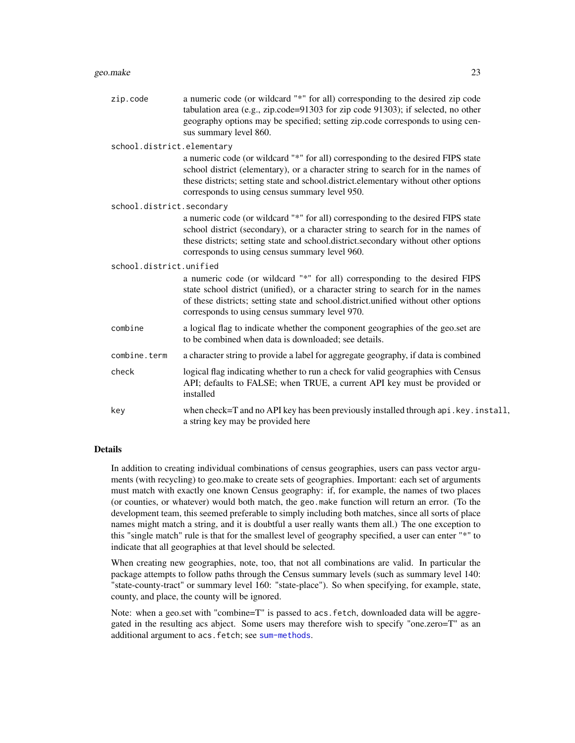#### geo.make 23

zip.code a numeric code (or wildcard "\*" for all) corresponding to the desired zip code tabulation area (e.g., zip.code=91303 for zip code 91303); if selected, no other geography options may be specified; setting zip.code corresponds to using census summary level 860. school.district.elementary

a numeric code (or wildcard "\*" for all) corresponding to the desired FIPS state school district (elementary), or a character string to search for in the names of these districts; setting state and school.district.elementary without other options corresponds to using census summary level 950.

school.district.secondary

a numeric code (or wildcard "\*" for all) corresponding to the desired FIPS state school district (secondary), or a character string to search for in the names of these districts; setting state and school.district.secondary without other options corresponds to using census summary level 960.

#### school.district.unified

a numeric code (or wildcard "\*" for all) corresponding to the desired FIPS state school district (unified), or a character string to search for in the names of these districts; setting state and school.district.unified without other options corresponds to using census summary level 970. combine a logical flag to indicate whether the component geographies of the geo.set are

- to be combined when data is downloaded; see details.
- combine.term a character string to provide a label for aggregate geography, if data is combined
- check logical flag indicating whether to run a check for valid geographies with Census API; defaults to FALSE; when TRUE, a current API key must be provided or installed
- key when check=T and no API key has been previously installed through api.key.install, a string key may be provided here

#### Details

In addition to creating individual combinations of census geographies, users can pass vector arguments (with recycling) to geo.make to create sets of geographies. Important: each set of arguments must match with exactly one known Census geography: if, for example, the names of two places (or counties, or whatever) would both match, the geo.make function will return an error. (To the development team, this seemed preferable to simply including both matches, since all sorts of place names might match a string, and it is doubtful a user really wants them all.) The one exception to this "single match" rule is that for the smallest level of geography specified, a user can enter "\*" to indicate that all geographies at that level should be selected.

When creating new geographies, note, too, that not all combinations are valid. In particular the package attempts to follow paths through the Census summary levels (such as summary level 140: "state-county-tract" or summary level 160: "state-place"). So when specifying, for example, state, county, and place, the county will be ignored.

Note: when a geo.set with "combine=T" is passed to acs.fetch, downloaded data will be aggregated in the resulting acs abject. Some users may therefore wish to specify "one.zero=T" as an additional argument to acs. fetch; see [sum-methods](#page-36-1).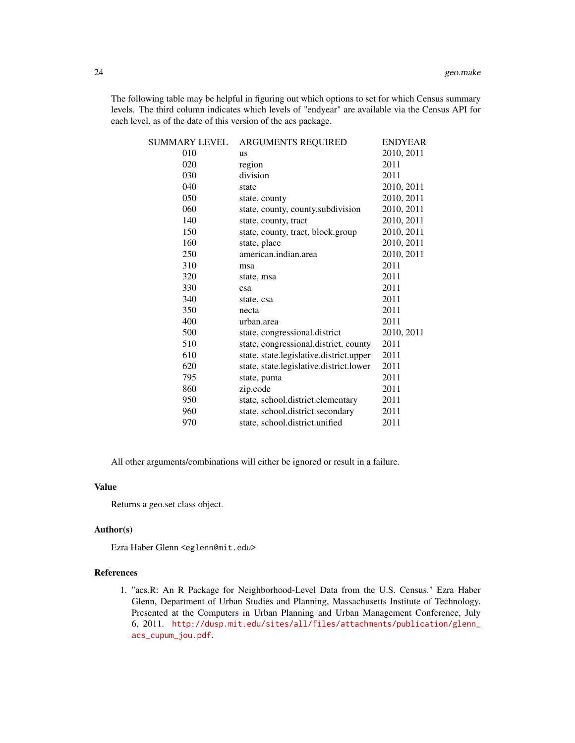The following table may be helpful in figuring out which options to set for which Census summary levels. The third column indicates which levels of "endyear" are available via the Census API for each level, as of the date of this version of the acs package.

| SUMMARY LEVEL | ARGUMENTS REQUIRED                      | <b>ENDYEAR</b> |
|---------------|-----------------------------------------|----------------|
| 010           | <b>us</b>                               | 2010, 2011     |
| 020           | region                                  | 2011           |
| 030           | division                                | 2011           |
| 040           | state                                   | 2010, 2011     |
| 050           | state, county                           | 2010, 2011     |
| 060           | state, county, county.subdivision       | 2010, 2011     |
| 140           | state, county, tract                    | 2010, 2011     |
| 150           | state, county, tract, block.group       | 2010, 2011     |
| 160           | state, place                            | 2010, 2011     |
| 250           | american.indian.area                    | 2010, 2011     |
| 310           | msa                                     | 2011           |
| 320           | state, msa                              | 2011           |
| 330           | csa                                     | 2011           |
| 340           | state, csa                              | 2011           |
| 350           | necta                                   | 2011           |
| 400           | urban.area                              | 2011           |
| 500           | state, congressional.district           | 2010, 2011     |
| 510           | state, congressional.district, county   | 2011           |
| 610           | state, state.legislative.district.upper | 2011           |
| 620           | state, state.legislative.district.lower | 2011           |
| 795           | state, puma                             | 2011           |
| 860           | zip.code                                | 2011           |
| 950           | state, school.district.elementary       | 2011           |
| 960           | state, school.district.secondary        | 2011           |
| 970           | state, school.district.unified          | 2011           |

All other arguments/combinations will either be ignored or result in a failure.

# Value

Returns a geo.set class object.

# Author(s)

Ezra Haber Glenn <eglenn@mit.edu>

# References

1. "acs.R: An R Package for Neighborhood-Level Data from the U.S. Census." Ezra Haber Glenn, Department of Urban Studies and Planning, Massachusetts Institute of Technology. Presented at the Computers in Urban Planning and Urban Management Conference, July 6, 2011. [http://dusp.mit.edu/sites/all/files/attachments/publication/glenn\\_](http://dusp.mit.edu/sites/all/files/attachments/publication/glenn_acs_cupum_jou.pdf) [acs\\_cupum\\_jou.pdf](http://dusp.mit.edu/sites/all/files/attachments/publication/glenn_acs_cupum_jou.pdf).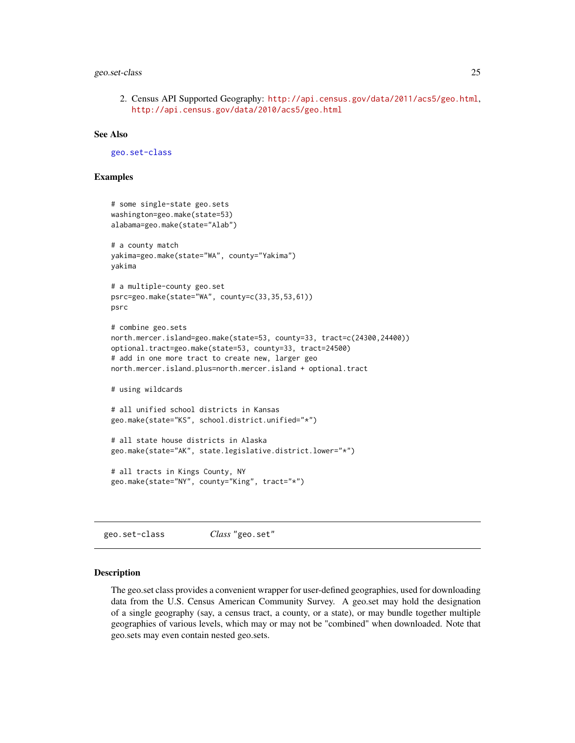# <span id="page-24-0"></span>geo.set-class 25

2. Census API Supported Geography: <http://api.census.gov/data/2011/acs5/geo.html>, <http://api.census.gov/data/2010/acs5/geo.html>

# See Also

[geo.set-class](#page-24-1)

# Examples

```
# some single-state geo.sets
washington=geo.make(state=53)
alabama=geo.make(state="Alab")
# a county match
yakima=geo.make(state="WA", county="Yakima")
yakima
# a multiple-county geo.set
psrc=geo.make(state="WA", county=c(33,35,53,61))
psrc
# combine geo.sets
north.mercer.island=geo.make(state=53, county=33, tract=c(24300,24400))
optional.tract=geo.make(state=53, county=33, tract=24500)
# add in one more tract to create new, larger geo
north.mercer.island.plus=north.mercer.island + optional.tract
# using wildcards
# all unified school districts in Kansas
geo.make(state="KS", school.district.unified="*")
# all state house districts in Alaska
geo.make(state="AK", state.legislative.district.lower="*")
# all tracts in Kings County, NY
geo.make(state="NY", county="King", tract="*")
```
<span id="page-24-1"></span>geo.set-class *Class* "geo.set"

# Description

The geo.set class provides a convenient wrapper for user-defined geographies, used for downloading data from the U.S. Census American Community Survey. A geo.set may hold the designation of a single geography (say, a census tract, a county, or a state), or may bundle together multiple geographies of various levels, which may or may not be "combined" when downloaded. Note that geo.sets may even contain nested geo.sets.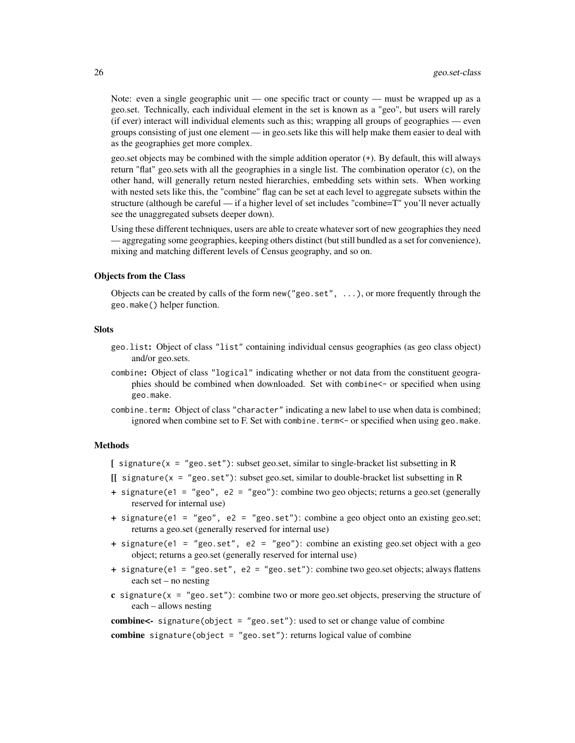Note: even a single geographic unit — one specific tract or county — must be wrapped up as a geo.set. Technically, each individual element in the set is known as a "geo", but users will rarely (if ever) interact will individual elements such as this; wrapping all groups of geographies — even groups consisting of just one element — in geo.sets like this will help make them easier to deal with as the geographies get more complex.

geo.set objects may be combined with the simple addition operator (+). By default, this will always return "flat" geo.sets with all the geographies in a single list. The combination operator (c), on the other hand, will generally return nested hierarchies, embedding sets within sets. When working with nested sets like this, the "combine" flag can be set at each level to aggregate subsets within the structure (although be careful — if a higher level of set includes "combine=T" you'll never actually see the unaggregated subsets deeper down).

Using these different techniques, users are able to create whatever sort of new geographies they need — aggregating some geographies, keeping others distinct (but still bundled as a set for convenience), mixing and matching different levels of Census geography, and so on.

#### Objects from the Class

Objects can be created by calls of the form new ( $"geo.set", \ldots$ ), or more frequently through the geo.make() helper function.

# **Slots**

- geo.list: Object of class "list" containing individual census geographies (as geo class object) and/or geo.sets.
- combine: Object of class "logical" indicating whether or not data from the constituent geographies should be combined when downloaded. Set with combine<- or specified when using geo.make.
- combine.term: Object of class "character" indicating a new label to use when data is combined; ignored when combine set to F. Set with combine. term <- or specified when using geo.make.

#### Methods

- [ signature(x = "geo.set"): subset geo.set, similar to single-bracket list subsetting in R
- $\iint$  signature(x = "geo.set"): subset geo.set, similar to double-bracket list subsetting in R
- + signature(e1 = "geo", e2 = "geo"): combine two geo objects; returns a geo.set (generally reserved for internal use)
- + signature(e1 = "geo", e2 = "geo.set"): combine a geo object onto an existing geo.set; returns a geo.set (generally reserved for internal use)
- + signature(e1 = "geo.set", e2 = "geo"): combine an existing geo.set object with a geo object; returns a geo.set (generally reserved for internal use)
- + signature(e1 = "geo.set", e2 = "geo.set"): combine two geo.set objects; always flattens each set – no nesting
- c signature( $x = "geo.set")$ : combine two or more geo.set objects, preserving the structure of each – allows nesting

**combine<-** signature(object = "geo.set"): used to set or change value of combine

combine signature(object = "geo.set"): returns logical value of combine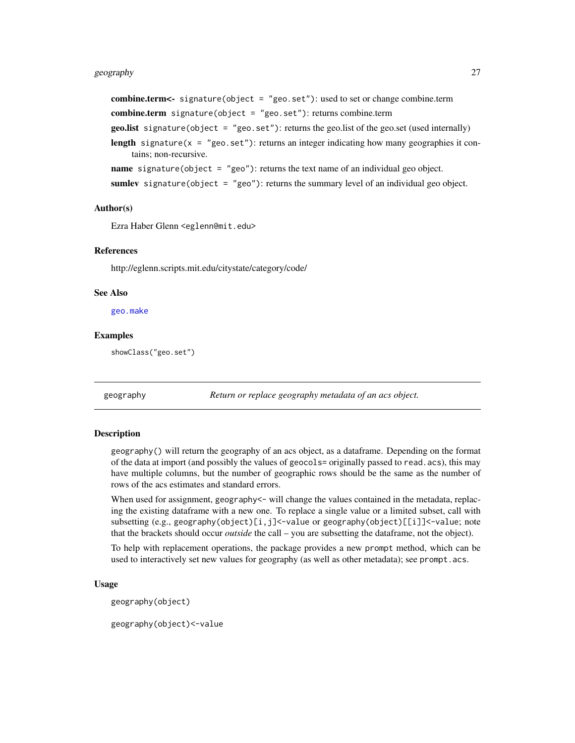# <span id="page-26-0"></span>geography 27

combine.term<- signature(object = "geo.set"): used to set or change combine.term combine.term signature(object = "geo.set"): returns combine.term **geo.list** signature(object =  $"$ geo.set"): returns the geo.list of the geo.set (used internally) length signature( $x = "geo.set")$ : returns an integer indicating how many geographies it contains; non-recursive. **name** signature(object =  $"geo"$ ): returns the text name of an individual geo object. sumlev signature(object =  $"geo"$ ): returns the summary level of an individual geo object.

#### Author(s)

Ezra Haber Glenn <eglenn@mit.edu>

#### References

http://eglenn.scripts.mit.edu/citystate/category/code/

# See Also

[geo.make](#page-19-1)

# Examples

showClass("geo.set")

geography *Return or replace geography metadata of an acs object.*

# Description

geography() will return the geography of an acs object, as a dataframe. Depending on the format of the data at import (and possibly the values of geocols= originally passed to read.acs), this may have multiple columns, but the number of geographic rows should be the same as the number of rows of the acs estimates and standard errors.

When used for assignment, geography <- will change the values contained in the metadata, replacing the existing dataframe with a new one. To replace a single value or a limited subset, call with subsetting (e.g., geography(object)[i,j]<-value or geography(object)[[i]]<-value; note that the brackets should occur *outside* the call – you are subsetting the dataframe, not the object).

To help with replacement operations, the package provides a new prompt method, which can be used to interactively set new values for geography (as well as other metadata); see prompt.acs.

#### Usage

geography(object)

geography(object)<-value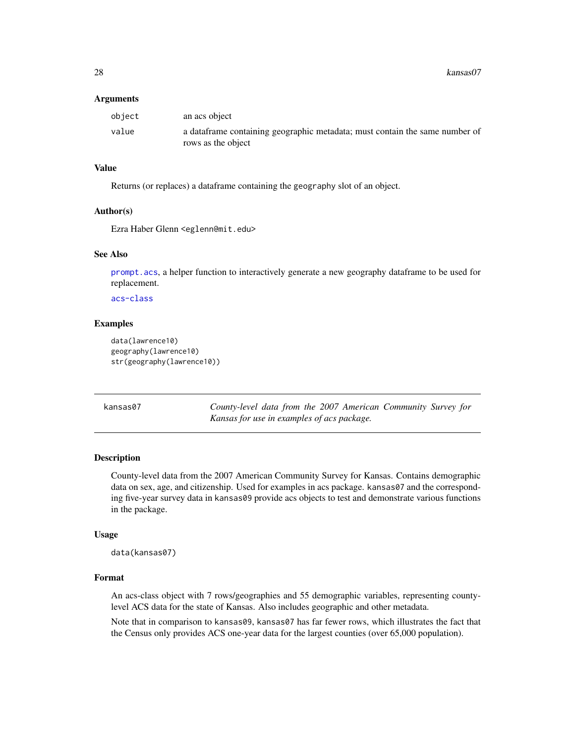<span id="page-27-0"></span>28 kansas07

#### **Arguments**

| obiect | an acs object                                                                                     |
|--------|---------------------------------------------------------------------------------------------------|
| value  | a dataframe containing geographic metadata; must contain the same number of<br>rows as the object |

#### Value

Returns (or replaces) a dataframe containing the geography slot of an object.

# Author(s)

Ezra Haber Glenn <eglenn@mit.edu>

#### See Also

[prompt.acs](#page-32-1), a helper function to interactively generate a new geography dataframe to be used for replacement.

[acs-class](#page-2-1)

#### Examples

```
data(lawrence10)
geography(lawrence10)
str(geography(lawrence10))
```

| kansas07 | County-level data from the 2007 American Community Survey for |  |  |  |  |
|----------|---------------------------------------------------------------|--|--|--|--|
|          | Kansas for use in examples of acs package.                    |  |  |  |  |

# Description

County-level data from the 2007 American Community Survey for Kansas. Contains demographic data on sex, age, and citizenship. Used for examples in acs package. kansas07 and the corresponding five-year survey data in kansas09 provide acs objects to test and demonstrate various functions in the package.

#### Usage

```
data(kansas07)
```
# Format

An acs-class object with 7 rows/geographies and 55 demographic variables, representing countylevel ACS data for the state of Kansas. Also includes geographic and other metadata.

Note that in comparison to kansas09, kansas07 has far fewer rows, which illustrates the fact that the Census only provides ACS one-year data for the largest counties (over 65,000 population).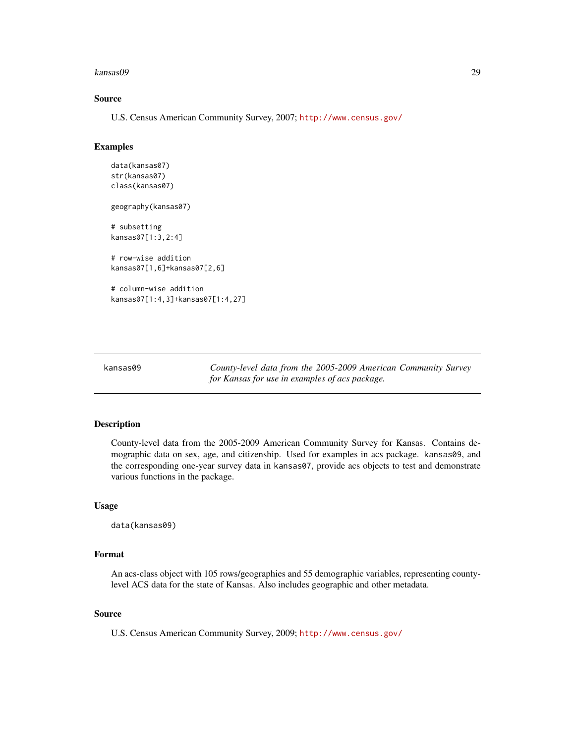#### <span id="page-28-0"></span>kansas09 29

# Source

U.S. Census American Community Survey, 2007; <http://www.census.gov/>

# Examples

```
data(kansas07)
str(kansas07)
class(kansas07)
geography(kansas07)
# subsetting
kansas07[1:3,2:4]
# row-wise addition
kansas07[1,6]+kansas07[2,6]
# column-wise addition
kansas07[1:4,3]+kansas07[1:4,27]
```
kansas09 *County-level data from the 2005-2009 American Community Survey for Kansas for use in examples of acs package.*

# Description

County-level data from the 2005-2009 American Community Survey for Kansas. Contains demographic data on sex, age, and citizenship. Used for examples in acs package. kansas09, and the corresponding one-year survey data in kansas07, provide acs objects to test and demonstrate various functions in the package.

#### Usage

data(kansas09)

#### Format

An acs-class object with 105 rows/geographies and 55 demographic variables, representing countylevel ACS data for the state of Kansas. Also includes geographic and other metadata.

#### Source

U.S. Census American Community Survey, 2009; <http://www.census.gov/>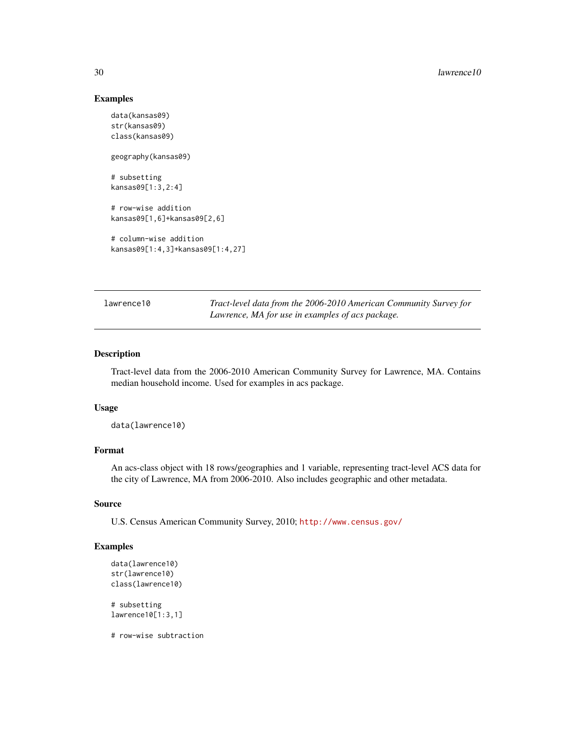# Examples

```
data(kansas09)
str(kansas09)
class(kansas09)
geography(kansas09)
# subsetting
kansas09[1:3,2:4]
# row-wise addition
kansas09[1,6]+kansas09[2,6]
# column-wise addition
kansas09[1:4,3]+kansas09[1:4,27]
```
lawrence10 *Tract-level data from the 2006-2010 American Community Survey for Lawrence, MA for use in examples of acs package.*

# Description

Tract-level data from the 2006-2010 American Community Survey for Lawrence, MA. Contains median household income. Used for examples in acs package.

#### Usage

data(lawrence10)

#### Format

An acs-class object with 18 rows/geographies and 1 variable, representing tract-level ACS data for the city of Lawrence, MA from 2006-2010. Also includes geographic and other metadata.

#### Source

U.S. Census American Community Survey, 2010; <http://www.census.gov/>

# Examples

```
data(lawrence10)
str(lawrence10)
class(lawrence10)
# subsetting
lawrence10[1:3,1]
# row-wise subtraction
```
<span id="page-29-0"></span>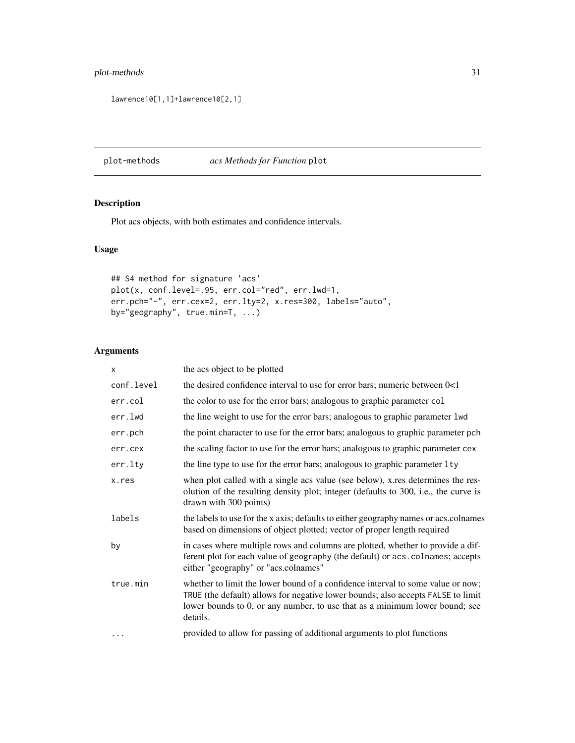# <span id="page-30-0"></span>plot-methods 31

lawrence10[1,1]+lawrence10[2,1]

plot-methods *acs Methods for Function* plot

# Description

Plot acs objects, with both estimates and confidence intervals.

# Usage

```
## S4 method for signature 'acs'
plot(x, conf.level=.95, err.col="red", err.lwd=1,
err.pch="-", err.cex=2, err.lty=2, x.res=300, labels="auto",
by="geography", true.min=T, ...)
```
# Arguments

| x          | the acs object to be plotted                                                                                                                                                                                                                                   |
|------------|----------------------------------------------------------------------------------------------------------------------------------------------------------------------------------------------------------------------------------------------------------------|
| conf.level | the desired confidence interval to use for error bars; numeric between $0<1$                                                                                                                                                                                   |
| err.col    | the color to use for the error bars; analogous to graphic parameter col                                                                                                                                                                                        |
| err.lwd    | the line weight to use for the error bars; analogous to graphic parameter 1 wd                                                                                                                                                                                 |
| err.pch    | the point character to use for the error bars; analogous to graphic parameter pch                                                                                                                                                                              |
| err.cex    | the scaling factor to use for the error bars; analogous to graphic parameter cex                                                                                                                                                                               |
| err.lty    | the line type to use for the error bars; analogous to graphic parameter 1ty                                                                                                                                                                                    |
| x.res      | when plot called with a single acs value (see below), x res determines the res-<br>olution of the resulting density plot; integer (defaults to 300, i.e., the curve is<br>drawn with 300 points)                                                               |
| labels     | the labels to use for the x axis; defaults to either geography names or acs.colnames<br>based on dimensions of object plotted; vector of proper length required                                                                                                |
| by         | in cases where multiple rows and columns are plotted, whether to provide a dif-<br>ferent plot for each value of geography (the default) or acs. colnames; accepts<br>either "geography" or "acs.colnames"                                                     |
| true.min   | whether to limit the lower bound of a confidence interval to some value or now;<br>TRUE (the default) allows for negative lower bounds; also accepts FALSE to limit<br>lower bounds to 0, or any number, to use that as a minimum lower bound; see<br>details. |
| .          | provided to allow for passing of additional arguments to plot functions                                                                                                                                                                                        |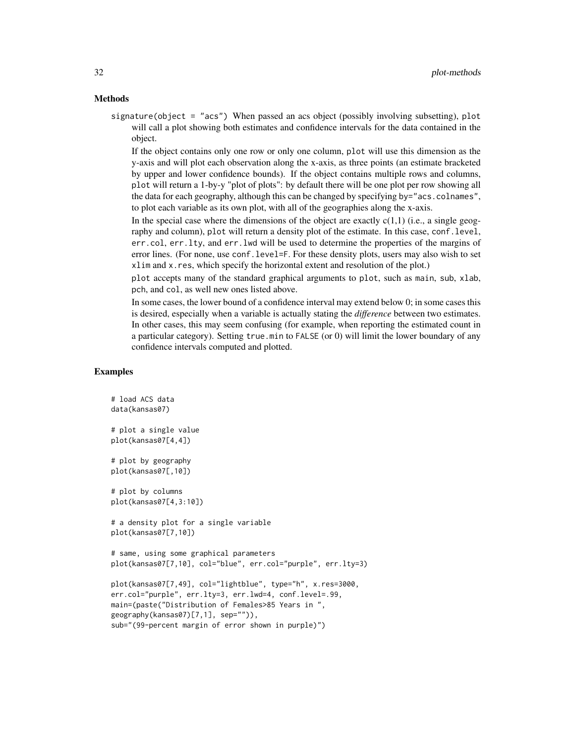#### Methods

signature(object = "acs") When passed an acs object (possibly involving subsetting), plot will call a plot showing both estimates and confidence intervals for the data contained in the object.

If the object contains only one row or only one column, plot will use this dimension as the y-axis and will plot each observation along the x-axis, as three points (an estimate bracketed by upper and lower confidence bounds). If the object contains multiple rows and columns, plot will return a 1-by-y "plot of plots": by default there will be one plot per row showing all the data for each geography, although this can be changed by specifying by="acs.colnames", to plot each variable as its own plot, with all of the geographies along the x-axis.

In the special case where the dimensions of the object are exactly  $c(1,1)$  (i.e., a single geography and column), plot will return a density plot of the estimate. In this case, conf.level, err.col, err.lty, and err.lwd will be used to determine the properties of the margins of error lines. (For none, use conf.level=F. For these density plots, users may also wish to set xlim and x.res, which specify the horizontal extent and resolution of the plot.)

plot accepts many of the standard graphical arguments to plot, such as main, sub, xlab, pch, and col, as well new ones listed above.

In some cases, the lower bound of a confidence interval may extend below 0; in some cases this is desired, especially when a variable is actually stating the *difference* between two estimates. In other cases, this may seem confusing (for example, when reporting the estimated count in a particular category). Setting true.min to FALSE (or 0) will limit the lower boundary of any confidence intervals computed and plotted.

# Examples

```
# load ACS data
data(kansas07)
# plot a single value
plot(kansas07[4,4])
# plot by geography
plot(kansas07[,10])
# plot by columns
plot(kansas07[4,3:10])
# a density plot for a single variable
plot(kansas07[7,10])
# same, using some graphical parameters
plot(kansas07[7,10], col="blue", err.col="purple", err.lty=3)
plot(kansas07[7,49], col="lightblue", type="h", x.res=3000,
err.col="purple", err.lty=3, err.lwd=4, conf.level=.99,
main=(paste("Distribution of Females>85 Years in ",
geography(kansas07)[7,1], sep="")),
```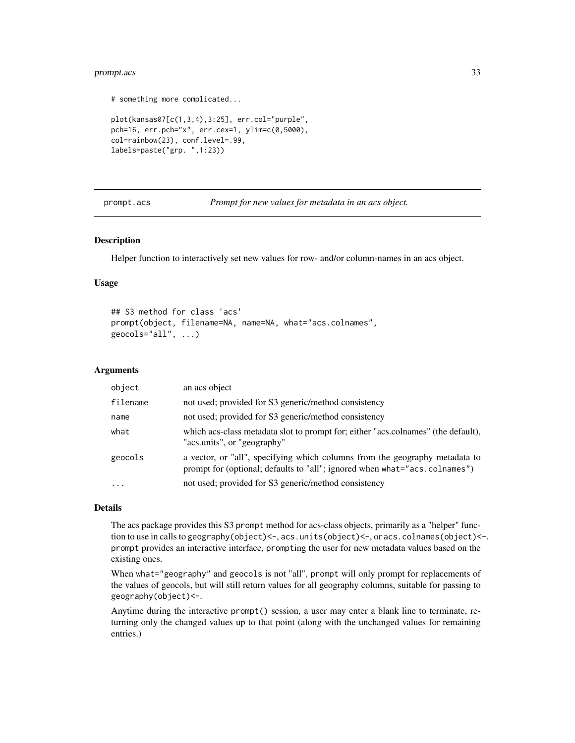# <span id="page-32-0"></span>prompt.acs 33

```
# something more complicated...
plot(kansas07[c(1,3,4),3:25], err.col="purple",
pch=16, err.pch="x", err.cex=1, ylim=c(0,5000),
col=rainbow(23), conf.level=.99,
labels=paste("grp. ",1:23))
```
prompt.acs *Prompt for new values for metadata in an acs object.*

# Description

Helper function to interactively set new values for row- and/or column-names in an acs object.

# Usage

```
## S3 method for class 'acs'
prompt(object, filename=NA, name=NA, what="acs.colnames",
geocols="all", \ldots)
```
#### Arguments

| object    | an acs object                                                                                                                                             |
|-----------|-----------------------------------------------------------------------------------------------------------------------------------------------------------|
| filename  | not used; provided for S3 generic/method consistency                                                                                                      |
| name      | not used; provided for S3 generic/method consistency                                                                                                      |
| what      | which acs-class metadata slot to prompt for; either "acs.colnames" (the default),<br>"acs.units", or "geography"                                          |
| geocols   | a vector, or "all", specifying which columns from the geography metadata to<br>prompt for (optional; defaults to "all"; ignored when what="acs.colnames") |
| $\ddotsc$ | not used; provided for S3 generic/method consistency                                                                                                      |

#### Details

The acs package provides this S3 prompt method for acs-class objects, primarily as a "helper" function to use in calls to geography(object)<-, acs.units(object)<-, or acs.colnames(object)<-. prompt provides an interactive interface, prompting the user for new metadata values based on the existing ones.

When what="geography" and geocols is not "all", prompt will only prompt for replacements of the values of geocols, but will still return values for all geography columns, suitable for passing to geography(object)<-.

Anytime during the interactive prompt() session, a user may enter a blank line to terminate, returning only the changed values up to that point (along with the unchanged values for remaining entries.)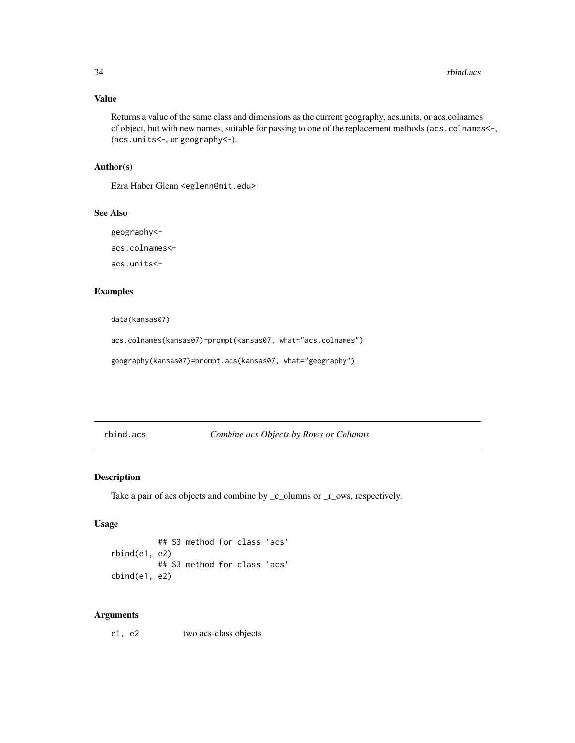# Value

Returns a value of the same class and dimensions as the current geography, acs.units, or acs.colnames of object, but with new names, suitable for passing to one of the replacement methods (acs.colnames<-, (acs.units<-, or geography<-).

# Author(s)

Ezra Haber Glenn <eglenn@mit.edu>

# See Also

geography<-

acs.colnames<-

acs.units<-

# Examples

data(kansas07)

acs.colnames(kansas07)=prompt(kansas07, what="acs.colnames")

geography(kansas07)=prompt.acs(kansas07, what="geography")

rbind.acs *Combine acs Objects by Rows or Columns*

# Description

Take a pair of acs objects and combine by \_c\_olumns or \_r\_ows, respectively.

# Usage

```
## S3 method for class 'acs'
rbind(e1, e2)
          ## S3 method for class 'acs'
cbind(e1, e2)
```
# Arguments

e1, e2 two acs-class objects

<span id="page-33-0"></span>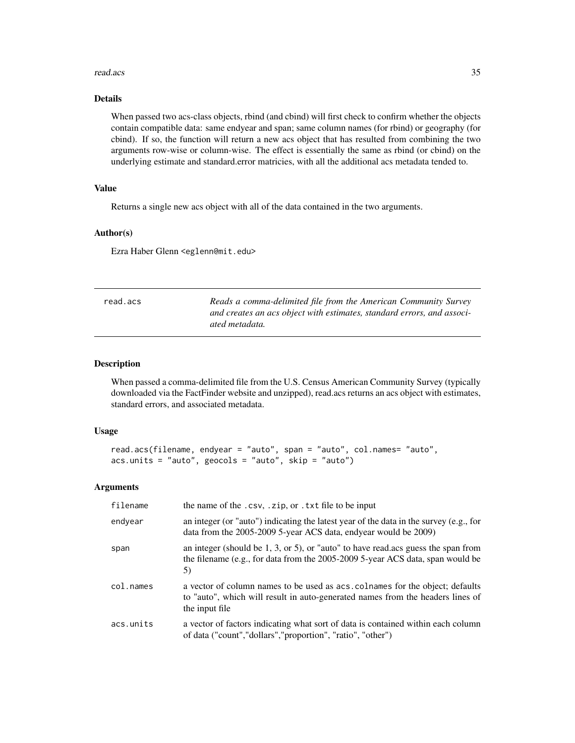#### <span id="page-34-0"></span>read.acs 35

# Details

When passed two acs-class objects, rbind (and cbind) will first check to confirm whether the objects contain compatible data: same endyear and span; same column names (for rbind) or geography (for cbind). If so, the function will return a new acs object that has resulted from combining the two arguments row-wise or column-wise. The effect is essentially the same as rbind (or cbind) on the underlying estimate and standard.error matricies, with all the additional acs metadata tended to.

# Value

Returns a single new acs object with all of the data contained in the two arguments.

# Author(s)

Ezra Haber Glenn <eglenn@mit.edu>

| read.acs | Reads a comma-delimited file from the American Community Survey<br>and creates an acs object with estimates, standard errors, and associ- |
|----------|-------------------------------------------------------------------------------------------------------------------------------------------|
|          | ated metadata.                                                                                                                            |

# Description

When passed a comma-delimited file from the U.S. Census American Community Survey (typically downloaded via the FactFinder website and unzipped), read.acs returns an acs object with estimates, standard errors, and associated metadata.

# Usage

```
read.acs(filename, endyear = "auto", span = "auto", col.names= "auto",
acs.units = "auto", geocols = "auto", skip = "auto")
```
# Arguments

| filename  | the name of the .csv, .zip, or .txt file to be input                                                                                                                              |
|-----------|-----------------------------------------------------------------------------------------------------------------------------------------------------------------------------------|
| endyear   | an integer (or "auto") indicating the latest year of the data in the survey (e.g., for<br>data from the 2005-2009 5-year ACS data, endyear would be 2009)                         |
| span      | an integer (should be $1, 3$ , or $5$ ), or "auto" to have read. acs guess the span from<br>the filename (e.g., for data from the 2005-2009 5-year ACS data, span would be<br>5)  |
| col.names | a vector of column names to be used as acs. colnames for the object; defaults<br>to "auto", which will result in auto-generated names from the headers lines of<br>the input file |
| acs.units | a vector of factors indicating what sort of data is contained within each column<br>of data ("count","dollars","proportion", "ratio", "other")                                    |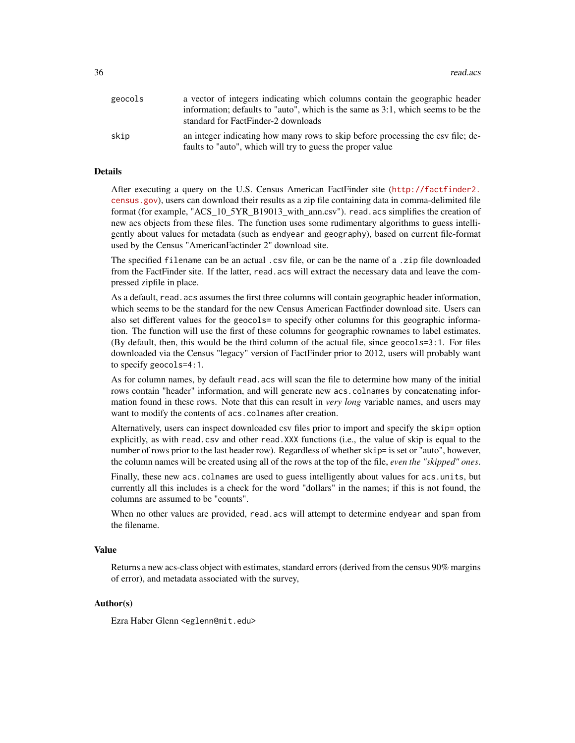| geocols | a vector of integers indicating which columns contain the geographic header<br>information; defaults to "auto", which is the same as 3:1, which seems to be the<br>standard for FactFinder-2 downloads |
|---------|--------------------------------------------------------------------------------------------------------------------------------------------------------------------------------------------------------|
| skip    | an integer indicating how many rows to skip before processing the csv file; de-<br>faults to "auto", which will try to guess the proper value                                                          |

# Details

After executing a query on the U.S. Census American FactFinder site ([http://factfinder2.](http://factfinder2.census.gov) [census.gov](http://factfinder2.census.gov)), users can download their results as a zip file containing data in comma-delimited file format (for example, "ACS\_10\_5YR\_B19013\_with\_ann.csv"). read.acs simplifies the creation of new acs objects from these files. The function uses some rudimentary algorithms to guess intelligently about values for metadata (such as endyear and geography), based on current file-format used by the Census "AmericanFactinder 2" download site.

The specified filename can be an actual .csv file, or can be the name of a .zip file downloaded from the FactFinder site. If the latter, read.acs will extract the necessary data and leave the compressed zipfile in place.

As a default, read. acs assumes the first three columns will contain geographic header information, which seems to be the standard for the new Census American Factfinder download site. Users can also set different values for the geocols= to specify other columns for this geographic information. The function will use the first of these columns for geographic rownames to label estimates. (By default, then, this would be the third column of the actual file, since geocols=3:1. For files downloaded via the Census "legacy" version of FactFinder prior to 2012, users will probably want to specify geocols=4:1.

As for column names, by default read.acs will scan the file to determine how many of the initial rows contain "header" information, and will generate new acs.colnames by concatenating information found in these rows. Note that this can result in *very long* variable names, and users may want to modify the contents of acs.colnames after creation.

Alternatively, users can inspect downloaded csv files prior to import and specify the skip= option explicitly, as with read.csv and other read.XXX functions (i.e., the value of skip is equal to the number of rows prior to the last header row). Regardless of whether  $skip =$  is set or "auto", however, the column names will be created using all of the rows at the top of the file, *even the "skipped" ones*.

Finally, these new acs.colnames are used to guess intelligently about values for acs.units, but currently all this includes is a check for the word "dollars" in the names; if this is not found, the columns are assumed to be "counts".

When no other values are provided, read.acs will attempt to determine endyear and span from the filename.

#### Value

Returns a new acs-class object with estimates, standard errors (derived from the census 90% margins of error), and metadata associated with the survey,

#### Author(s)

Ezra Haber Glenn <eglenn@mit.edu>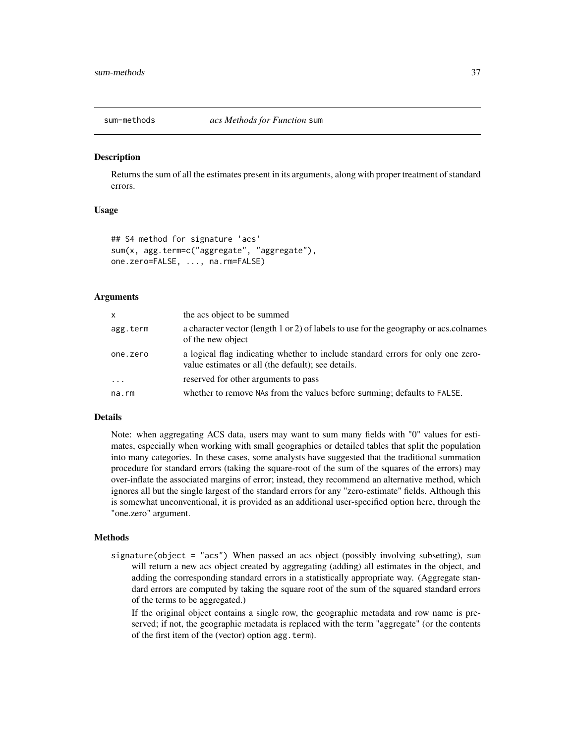<span id="page-36-1"></span><span id="page-36-0"></span>

#### **Description**

Returns the sum of all the estimates present in its arguments, along with proper treatment of standard errors.

# Usage

```
## S4 method for signature 'acs'
sum(x, agg.term=c("aggregate", "aggregate"),
one.zero=FALSE, ..., na.rm=FALSE)
```
#### Arguments

| $\mathsf{x}$ | the acs object to be summed                                                                                                           |
|--------------|---------------------------------------------------------------------------------------------------------------------------------------|
| agg.term     | a character vector (length 1 or 2) of labels to use for the geography or acs.colnames<br>of the new object                            |
| one.zero     | a logical flag indicating whether to include standard errors for only one zero-<br>value estimates or all (the default); see details. |
| $\cdot$      | reserved for other arguments to pass                                                                                                  |
| na.rm        | whether to remove NAs from the values before summing; defaults to FALSE.                                                              |

# Details

Note: when aggregating ACS data, users may want to sum many fields with "0" values for estimates, especially when working with small geographies or detailed tables that split the population into many categories. In these cases, some analysts have suggested that the traditional summation procedure for standard errors (taking the square-root of the sum of the squares of the errors) may over-inflate the associated margins of error; instead, they recommend an alternative method, which ignores all but the single largest of the standard errors for any "zero-estimate" fields. Although this is somewhat unconventional, it is provided as an additional user-specified option here, through the "one.zero" argument.

#### Methods

signature(object = "acs") When passed an acs object (possibly involving subsetting), sum will return a new acs object created by aggregating (adding) all estimates in the object, and adding the corresponding standard errors in a statistically appropriate way. (Aggregate standard errors are computed by taking the square root of the sum of the squared standard errors of the terms to be aggregated.)

If the original object contains a single row, the geographic metadata and row name is preserved; if not, the geographic metadata is replaced with the term "aggregate" (or the contents of the first item of the (vector) option agg.term).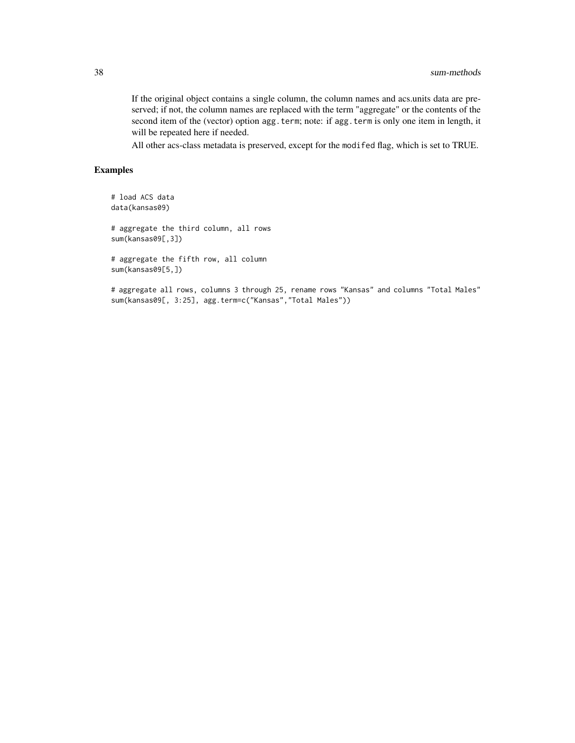If the original object contains a single column, the column names and acs.units data are preserved; if not, the column names are replaced with the term "aggregate" or the contents of the second item of the (vector) option agg.term; note: if agg.term is only one item in length, it will be repeated here if needed.

All other acs-class metadata is preserved, except for the modifed flag, which is set to TRUE.

# Examples

```
# load ACS data
data(kansas09)
```
# aggregate the third column, all rows sum(kansas09[,3])

# aggregate the fifth row, all column sum(kansas09[5,])

# aggregate all rows, columns 3 through 25, rename rows "Kansas" and columns "Total Males" sum(kansas09[, 3:25], agg.term=c("Kansas","Total Males"))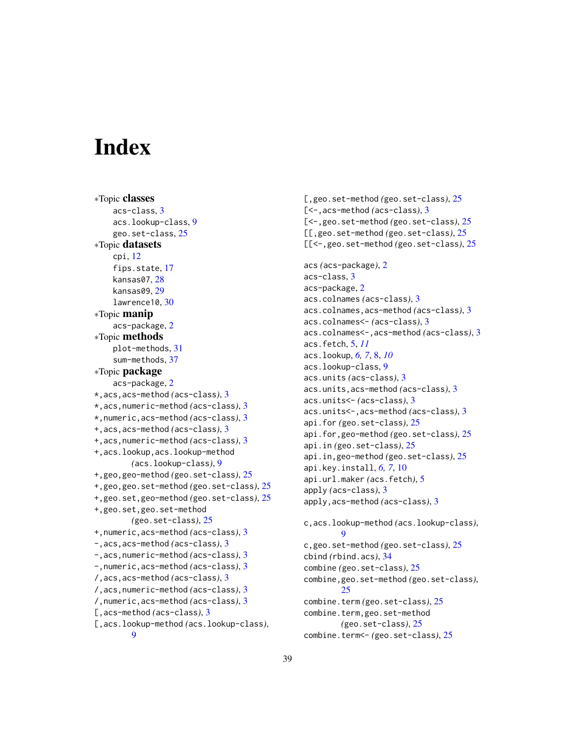# <span id="page-38-0"></span>**Index**

∗Topic classes acs-class, [3](#page-2-0) acs.lookup-class, [9](#page-8-0) geo.set-class, [25](#page-24-0) ∗Topic datasets cpi, [12](#page-11-0) fips.state, [17](#page-16-0) kansas07, [28](#page-27-0) kansas09, [29](#page-28-0) lawrence10, [30](#page-29-0) ∗Topic manip acs-package, [2](#page-1-0) ∗Topic methods plot-methods, [31](#page-30-0) sum-methods, [37](#page-36-0) ∗Topic package acs-package, [2](#page-1-0) \*,acs,acs-method *(*acs-class*)*, [3](#page-2-0) \*,acs,numeric-method *(*acs-class*)*, [3](#page-2-0) \*,numeric,acs-method *(*acs-class*)*, [3](#page-2-0) +,acs,acs-method *(*acs-class*)*, [3](#page-2-0) +,acs,numeric-method *(*acs-class*)*, [3](#page-2-0) +,acs.lookup,acs.lookup-method *(*acs.lookup-class*)*, [9](#page-8-0) +,geo,geo-method *(*geo.set-class*)*, [25](#page-24-0) +,geo,geo.set-method *(*geo.set-class*)*, [25](#page-24-0) +,geo.set,geo-method *(*geo.set-class*)*, [25](#page-24-0) +,geo.set,geo.set-method *(*geo.set-class*)*, [25](#page-24-0) +,numeric,acs-method *(*acs-class*)*, [3](#page-2-0) -,acs,acs-method *(*acs-class*)*, [3](#page-2-0) -,acs,numeric-method *(*acs-class*)*, [3](#page-2-0) -,numeric,acs-method *(*acs-class*)*, [3](#page-2-0) /,acs,acs-method *(*acs-class*)*, [3](#page-2-0) /,acs,numeric-method *(*acs-class*)*, [3](#page-2-0) /,numeric,acs-method *(*acs-class*)*, [3](#page-2-0) [,acs-method *(*acs-class*)*, [3](#page-2-0) [,acs.lookup-method *(*acs.lookup-class*)*, [9](#page-8-0)

[,geo.set-method *(*geo.set-class*)*, [25](#page-24-0) [<-,acs-method *(*acs-class*)*, [3](#page-2-0) [<-,geo.set-method *(*geo.set-class*)*, [25](#page-24-0) [[,geo.set-method *(*geo.set-class*)*, [25](#page-24-0) [[<-,geo.set-method *(*geo.set-class*)*, [25](#page-24-0) acs *(*acs-package*)*, [2](#page-1-0) acs-class, [3](#page-2-0) acs-package, [2](#page-1-0) acs.colnames *(*acs-class*)*, [3](#page-2-0) acs.colnames,acs-method *(*acs-class*)*, [3](#page-2-0) acs.colnames<- *(*acs-class*)*, [3](#page-2-0) acs.colnames<-,acs-method *(*acs-class*)*, [3](#page-2-0) acs.fetch, [5,](#page-4-0) *[11](#page-10-0)* acs.lookup, *[6,](#page-5-0) [7](#page-6-0)*, [8,](#page-7-0) *[10](#page-9-0)* acs.lookup-class, [9](#page-8-0) acs.units *(*acs-class*)*, [3](#page-2-0) acs.units,acs-method *(*acs-class*)*, [3](#page-2-0) acs.units<- *(*acs-class*)*, [3](#page-2-0) acs.units<-,acs-method *(*acs-class*)*, [3](#page-2-0) api.for *(*geo.set-class*)*, [25](#page-24-0) api.for,geo-method *(*geo.set-class*)*, [25](#page-24-0) api.in *(*geo.set-class*)*, [25](#page-24-0) api.in,geo-method *(*geo.set-class*)*, [25](#page-24-0) api.key.install, *[6,](#page-5-0) [7](#page-6-0)*, [10](#page-9-0) api.url.maker *(*acs.fetch*)*, [5](#page-4-0) apply *(*acs-class*)*, [3](#page-2-0) apply,acs-method *(*acs-class*)*, [3](#page-2-0) c,acs.lookup-method *(*acs.lookup-class*)*,  $\mathbf Q$ c,geo.set-method *(*geo.set-class*)*, [25](#page-24-0) cbind *(*rbind.acs*)*, [34](#page-33-0) combine *(*geo.set-class*)*, [25](#page-24-0) combine,geo.set-method *(*geo.set-class*)*, [25](#page-24-0) combine.term *(*geo.set-class*)*, [25](#page-24-0) combine.term,geo.set-method *(*geo.set-class*)*, [25](#page-24-0) combine.term<- *(*geo.set-class*)*, [25](#page-24-0)